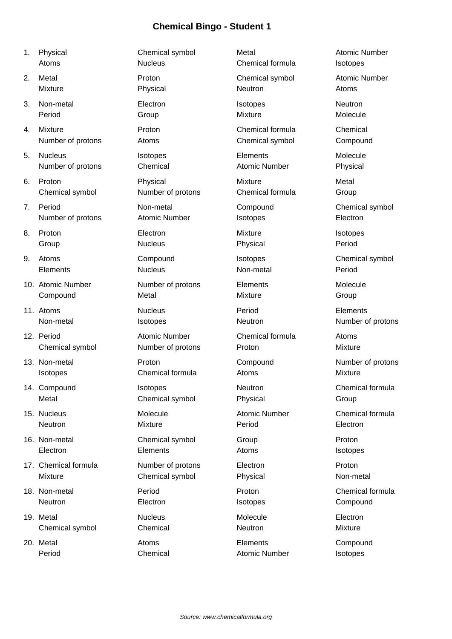- 
- 
- 
- 4. Mixture **Proton** Proton Chemical formula Chemical Number of protons Atoms Atoms Chemical symbol Compound
- 5. Nucleus Isotopes Elements Molecule Number of protons Chemical Atomic Number Physical
- 6. Proton Physical Mixture Metal
- 7. Period **Non-metal** Compound Compound Chemical symbol Number of protons Atomic Number Isotopes Electron
- 
- 
- 10. Atomic Number Number of protons Elements Molecule
- 11. Atoms Nucleus Period Elements
- 12. Period **Atomic Number** Chemical formula Atoms
- 
- 
- 
- 
- 17. Chemical formula **Number of protons** Electron **Electron** Proton
- 
- 19. Metal **Nucleus** Mucleus Molecule **Molecule** Electron Chemical symbol Chemical Chemical Neutron News Mixture
- 20. Metal **Atoms** Elements Elements Compound

Chemical symbol Mumber of protons Chemical formula Group

**Compound Metal Metal Mixture Group** 

Chemical symbol Number of protons Proton Mixture

13. Non-metal **Proton** Proton Compound Number of protons **Isotopes** Chemical formula Atoms Mixture

14. Compound **ISOTOPER ISOTOPES** Neutron Neutron Chemical formula Metal Chemical symbol Physical Group

16. Non-metal Chemical symbol Group Proton Electron **Elements** Elements Atoms **Atoms** Isotopes

Mixture Chemical symbol Physical Chemical Symbol Physical Non-metal

1. Physical **Chemical symbol** Metal Metal Atomic Number Atoms **Nucleus Nucleus** Chemical formula Isotopes 2. Metal **Proton** Proton Chemical symbol Atomic Number Mixture **Network** Physical **Neutron Atoms** Atoms 3. Non-metal Electron Isotopes Neutron Period **Group Group Mixture Mixture** Molecule 8. Proton Electron Mixture Isotopes Group Nucleus Physical Period 9. Atoms Compound Isotopes Chemical symbol Elements Nucleus Non-metal Period Non-metal **ISOTOPES** Isotopes Neutron Neutron Number of protons 15. Nucleus Molecule Atomic Number Chemical formula Neutron **Mixture** Mixture **Period** Period Electron 18. Non-metal Period Proton Chemical formula Neutron **Electron** Electron Isotopes **Compound** 

Period Chemical Atomic Number Isotopes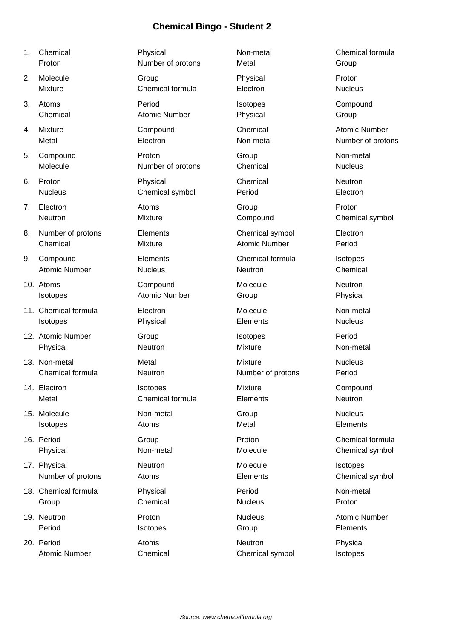- 
- 
- 
- 
- 5. Compound Proton
- 
- 7. Electron Atoms
- 8. Number of protons Element
- 9. Compound Element Atomic Number Nucleus
- 10. Atoms Compou
- 11. Chemical formula Electron
- 12. Atomic Number Group
- 13. Non-metal Metal Chemical formula Neutron
- 14. Electron Isotopes
- 15. Molecule Non-met
- 
- 17. Physical Neutron
- 18. Chemical formula Physical
- 
- 20. Period Atoms

| 1. | Chemical             | Physical             | Non-metal            | Chemical formula     |
|----|----------------------|----------------------|----------------------|----------------------|
|    | Proton               | Number of protons    | Metal                | Group                |
| 2. | Molecule             | Group                | Physical             | Proton               |
|    | <b>Mixture</b>       | Chemical formula     | Electron             | <b>Nucleus</b>       |
| 3. | Atoms                | Period               | Isotopes             | Compound             |
|    | Chemical             | <b>Atomic Number</b> | Physical             | Group                |
| 4. | <b>Mixture</b>       | Compound             | Chemical             | <b>Atomic Number</b> |
|    | Metal                | Electron             | Non-metal            | Number of protons    |
| 5. | Compound             | Proton               | Group                | Non-metal            |
|    | Molecule             | Number of protons    | Chemical             | <b>Nucleus</b>       |
| 6. | Proton               | Physical             | Chemical             | Neutron              |
|    | <b>Nucleus</b>       | Chemical symbol      | Period               | Electron             |
| 7. | Electron             | Atoms                | Group                | Proton               |
|    | Neutron              | Mixture              | Compound             | Chemical symbol      |
| 8. | Number of protons    | Elements             | Chemical symbol      | Electron             |
|    | Chemical             | Mixture              | <b>Atomic Number</b> | Period               |
| 9. | Compound             | Elements             | Chemical formula     | Isotopes             |
|    | <b>Atomic Number</b> | <b>Nucleus</b>       | Neutron              | Chemical             |
|    | 10. Atoms            | Compound             | Molecule             | Neutron              |
|    | Isotopes             | <b>Atomic Number</b> | Group                | Physical             |
|    | 11. Chemical formula | Electron             | Molecule             | Non-metal            |
|    | Isotopes             | Physical             | Elements             | <b>Nucleus</b>       |
|    | 12. Atomic Number    | Group                | Isotopes             | Period               |
|    | Physical             | Neutron              | Mixture              | Non-metal            |
|    | 13. Non-metal        | Metal                | <b>Mixture</b>       | <b>Nucleus</b>       |
|    | Chemical formula     | Neutron              | Number of protons    | Period               |
|    | 14. Electron         | Isotopes             | Mixture              | Compound             |
|    | Metal                | Chemical formula     | Elements             | Neutron              |
|    | 15. Molecule         | Non-metal            | Group                | <b>Nucleus</b>       |
|    | Isotopes             | Atoms                | Metal                | Elements             |
|    | 16. Period           | Group                | Proton               | Chemical formula     |
|    | Physical             | Non-metal            | Molecule             | Chemical symbol      |
|    | 17. Physical         | Neutron              | Molecule             | Isotopes             |
|    | Number of protons    | Atoms                | Elements             | Chemical symbol      |
|    | 18. Chemical formula | Physical             | Period               | Non-metal            |
|    | Group                | Chemical             | <b>Nucleus</b>       | Proton               |
|    | 19. Neutron          | Proton               | <b>Nucleus</b>       | <b>Atomic Number</b> |
|    | Period               | Isotopes             | Group                | Elements             |
|    | 20. Period           | Atoms                | Neutron              | Physical             |
|    | <b>Atomic Number</b> | Chemical             | Chemical symbol      | Isotopes             |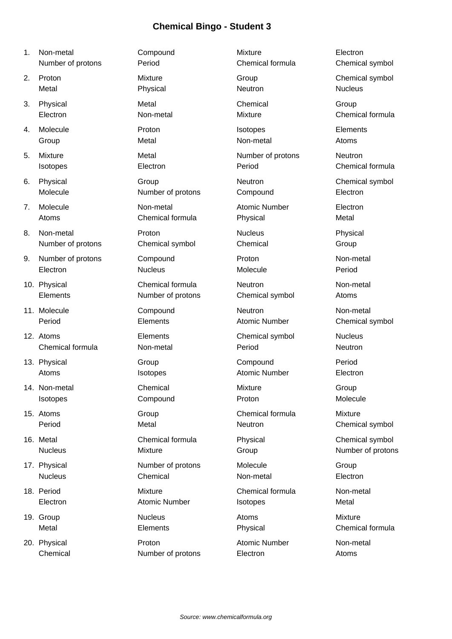- 
- 
- 
- 
- 
- 
- 
- 
- 
- 
- 
- 
- 
- 
- 
- 
- 
- 
- 

Chemical Mumber of protons Electron Atoms

1. Non-metal Compound Mixture Electron Number of protons Period Chemical formula Chemical symbol 2. Proton Mixture Group Chemical symbol Metal **Research Physical Research Nucleus** Neutron Nucleus 3. Physical Chemical Chemical Chemical Group Electron Non-metal Mixture Chemical formula 4. Molecule Proton Isotopes Elements Group **Metal** Metal Non-metal Atoms 5. Mixture **Metal** Metal Number of protons Neutron **Isotopes Electron Electron Period Chemical formula** 6. Physical Group Group Chemical symbol Group Chemical symbol Molecule **Number of protons** Compound Electron 7. Molecule Non-metal Atomic Number Electron Atoms **Chemical formula** Physical Physical Metal 8. Non-metal **Reserves Proton** Communication Nucleus Physical Number of protons Chemical symbol Chemical Group 9. Number of protons Compound Proton Proton Non-metal Electron Nucleus Molecule Period 10. Physical Chemical formula Neutron Non-metal Elements Number of protons Chemical symbol Atoms 11. Molecule **Compound** Neutron Neutron Non-metal Period **Elements** Elements Atomic Number Chemical symbol 12. Atoms Elements Chemical symbol Nucleus Chemical formula Non-metal Period Neutron 13. Physical Compound Compound Period Atoms **Increases Atomic Number Clectron** 14. Non-metal Chemical Mixture Group Isotopes Compound Proton Molecule 15. Atoms **Chemical Formula** Group Chemical formula Mixture Period Metal Metal Neutron Chemical symbol 16. Metal Chemical formula Physical Chemical symbol Nucleus **Mixture** Mixture Group **Communist Communist Communist Communist Communist Communist Communist Communist Communist Communist Communist Communist Communist Communist Communist Communist Communist Communist Communist** 17. Physical **Number of protons** Molecule Group Nucleus **Chemical** Chemical Non-metal **Electron** 18. Period **Chemical Formula** Chemical formula Non-metal Electron **Atomic Number** Isotopes **Metal** 19. Group Nucleus Atoms Mixture Metal Elements Physical Chemical formula 20. Physical **Proton** Proton **Atomic Number** Non-metal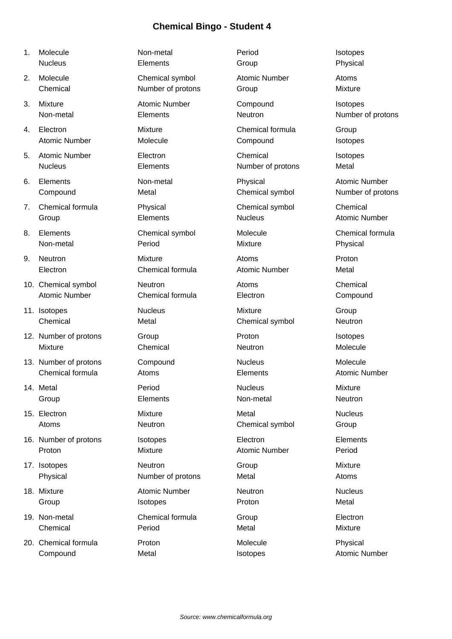- 
- 
- 
- 
- 
- 
- 
- 
- 
- 
- 
- 12. Number of protons Group Group Proton Proton Isotopes
- 13. Number of protons Compound Nucleus Nucleus Molecule
- 
- 
- 16. Number of protons and isotopes in the electron Elements Elements
- 
- 
- 
- 20. Chemical formula Proton Molecule Physical **Compound Metal Metal Isotopes Atomic Number**

1. Molecule **Non-metal** Period Period Isotopes Nucleus **Elements Group Physical** 2. Molecule Chemical symbol Atomic Number Atoms Chemical **Number of protons** Group **Group** Mixture 3. Mixture **Atomic Number** Compound Isotopes Non-metal Elements Elements Neutron Neutron Number of protons 4. Electron **Mixture** Chemical formula Group Atomic Number **Molecule Compound** Isotopes 5. Atomic Number **Electron** Electron **Chemical** Isotopes Nucleus **Elements** Elements Number of protons Metal 6. Elements **Non-metal** Physical Physical Atomic Number Compound Metal Metal Chemical symbol Number of protons 7. Chemical formula Physical Chemical symbol Chemical Group **Elements** Elements Nucleus Atomic Number 8. Elements Chemical symbol Molecule Chemical formula Non-metal Period Mixture Physical 9. Neutron Mixture Atoms Proton Electron Chemical formula Atomic Number Metal 10. Chemical symbol **Neutron** Neutron **Atoms** Chemical Atomic Number Chemical formula Electron Compound 11. Isotopes **11. Isotopes 11. Isotopes 11. Isotopes 11. Isotopes 11. Isotopes 11. Isotopes 11. Isotopes 11. Isotopes 11. Isotopes 11. Isotopes 11. Isotopes 11. Isotopes 11. Isotopes 11. Isotopes** Chemical Metal Chemical symbol Neutron Mixture **Chemical** Chemical Neutron Molecule Chemical formula Atoms Elements Atomic Number 14. Metal Period Nucleus Mixture Group **Elements** Non-metal Neutron Neutron 15. Electron **15. Electron** Mixture Metal Metal Mucleus Atoms **Neutron Neutron Chemical symbol** Group Proton Mixture Mixture Atomic Number Period 17. Isotopes **Neutron Neutron** Group Group Mixture Physical **Number of protons** Metal Atoms Atoms 18. Mixture **Atomic Number** Neutron Nucleus Nucleus Group **ISOTOPES ISOTOPES Proton ISOTOPES Proton ISOTOPES** 19. Non-metal Chemical formula Group Electron Chemical Period Metal Mixture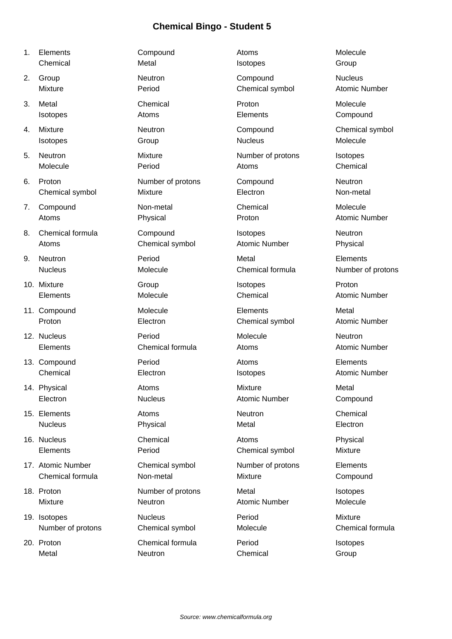- 
- 
- 
- 
- 
- 
- 
- 
- 
- 
- 
- 
- 
- 
- 
- 
- 
- 
- 
- 

1. Elements **Compound Compound** Atoms Molecule Chemical **Internal Metal** Metal **Isotopes** Group 2. Group **Neutron** Neutron **Compound** Nucleus Mixture **Number** Period **Period** Chemical symbol Atomic Number 3. Metal Chemical Proton Molecule **Isotopes Compound Atoms** Atoms Elements Elements Compound 4. Mixture **Neutron** Neutron **Compound** Compound Chemical symbol Isotopes Group Nucleus Molecule 5. Neutron **Mixture** Mixture **Number of protons** Isotopes Molecule **Period** Period **Atoms** Chemical **Chemical** 6. Proton Number of protons Compound Neutron Chemical symbol Mixture Chemical symbol Mixture Electron Electron 7. Compound Non-metal Chemical Molecule Atoms **Physical** Physical Proton **Proton** Atomic Number 8. Chemical formula Compound Compound Isotopes Neutron Atoms Chemical symbol Atomic Number Physical 9. Neutron Period Metal Elements Nucleus Molecule Molecule Chemical formula Number of protons 10. Mixture **Internal Community Community** Croup Crown isotopes and Proton Elements Molecule Chemical Atomic Number 11. Compound **Elements** Molecule **Molecule** Elements Metal Proton **Electron** Electron Chemical symbol Atomic Number 12. Nucleus **Neutron** Period **Noteber 12. Nucleus** Neutron Elements Chemical formula Atoms Atomic Number 13. Compound **13. Compound Period Period Atoms Elements** Chemical **Electron** Electron Isotopes Atomic Number 14. Physical **Atoms** Mixture Mixture Metal Electron Nucleus Atomic Number Compound 15. Elements Atoms Neutron Chemical Nucleus **Physical Metal Metal** Plectron 16. Nucleus Chemical Atoms Physical Elements Period Chemical symbol Mixture 17. Atomic Number Chemical symbol Number of protons Elements Chemical formula Non-metal Mixture Compound 18. Proton **18. Proton Communist Communist Communist Communist Communist Communist Communist Communist Communist Communist Communist Communist Communist Communist Communist Communist Communist Communist Communist Communist** Mixture Meutron Neutron Atomic Number Molecule 19. Isotopes **Nucleus Nucleus Period** Mixture Number of protons Chemical symbol Molecule Chemical formula

20. Proton Chemical formula Period Isotopes Metal **Neutron** Chemical Group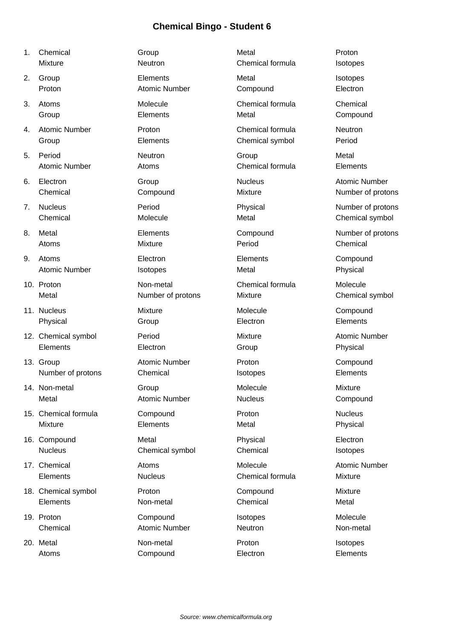- 
- 
- 
- 
- 
- 
- 
- 
- 
- 
- 
- 
- 
- 
- 
- 
- 
- 
- 
- 

1. Chemical and Group Communication of the Group Metal Annual Proton Mixture **Neutron Neutron** Chemical formula Isotopes 2. Group Elements Metal Isotopes Proton **Atomic Number** Compound Electron **Compound** Electron 3. Atoms Molecule Chemical formula Chemical Group **Elements** Elements Metal Metal Compound 4. Atomic Number Proton Chemical formula Neutron Group Elements Chemical symbol Period 5. Period Neutron Group Metal Atomic Number Atoms Chemical formula Elements 6. Electron **Group** Group **Communist Communist Communist Communist Communist Communist Communist Communist Communist Communist Communist Communist Communist Communist Communist Communist Communist Communist Communist Commu** Chemical Compound Mixture Mixture Number of protons 7. Nucleus **Period** Physical Physical Number of protons Chemical Molecule Molecule Metal Metal Chemical symbol 8. Metal **Elements** Elements Compound Number of protons Atoms **Mixture** Mixture **Period** Chemical 9. Atoms Electron Elements Compound Atomic Number **Isotopes Isotopes** Metal **Physical** 10. Proton **10. Proton Chemical Chemical Chemical Chemical Molecule** Molecule Metal **Number of protons** Mixture Chemical symbol 11. Nucleus **11. International Molecule** Molecule Compound Physical Group Group Electron Electron Elements 12. Chemical symbol **Period** Period Mixture Mixture Atomic Number Elements **Electron** Electron Group **Contains Physical** 13. Group Compound Atomic Number Proton Proton Compound Number of protons Chemical **Isotopes** Elements 14. Non-metal **Group** Group **Molecule** Molecule Mixture Metal **Atomic Number** Nucleus Compound Netal 15. Chemical formula Compound Proton Nucleus Mixture Elements Metal Physical 16. Compound Metal Physical Electron Nucleus Chemical symbol Chemical Chemical Isotopes 17. Chemical **Atoms** Atoms **Molecule** Atomic Number Elements Nucleus Chemical formula Mixture 18. Chemical symbol **Proton** Proton Compound Mixture Elements Non-metal Chemical Metal 19. Proton Compound Isotopes Molecule Chemical Atomic Number Neutron Non-metal

20. Metal Non-metal Proton Isotopes Atoms **Compound** Electron **Elements**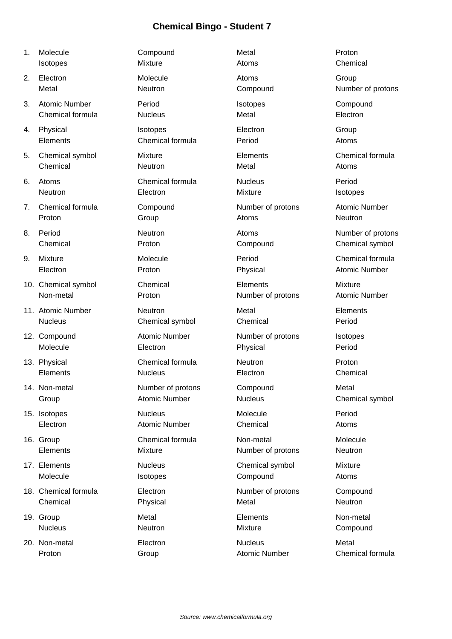| 1. | Molecule             | Compound             | Metal                | Proton               |
|----|----------------------|----------------------|----------------------|----------------------|
|    | Isotopes             | Mixture              | Atoms                | Chemical             |
| 2. | Electron             | Molecule             | Atoms                | Group                |
|    | Metal                | Neutron              | Compound             | Number of protons    |
| 3. | <b>Atomic Number</b> | Period               | Isotopes             | Compound             |
|    | Chemical formula     | <b>Nucleus</b>       | Metal                | Electron             |
| 4. | Physical             | Isotopes             | Electron             | Group                |
|    | Elements             | Chemical formula     | Period               | Atoms                |
| 5. | Chemical symbol      | <b>Mixture</b>       | Elements             | Chemical formula     |
|    | Chemical             | Neutron              | Metal                | Atoms                |
| 6. | Atoms                | Chemical formula     | <b>Nucleus</b>       | Period               |
|    | Neutron              | Electron             | Mixture              | Isotopes             |
| 7. | Chemical formula     | Compound             | Number of protons    | <b>Atomic Number</b> |
|    | Proton               | Group                | Atoms                | Neutron              |
| 8. | Period               | Neutron              | Atoms                | Number of protons    |
|    | Chemical             | Proton               | Compound             | Chemical symbol      |
| 9. | Mixture              | Molecule             | Period               | Chemical formula     |
|    | Electron             | Proton               | Physical             | <b>Atomic Number</b> |
|    | 10. Chemical symbol  | Chemical             | Elements             | <b>Mixture</b>       |
|    | Non-metal            | Proton               | Number of protons    | <b>Atomic Number</b> |
|    | 11. Atomic Number    | Neutron              | Metal                | Elements             |
|    | <b>Nucleus</b>       | Chemical symbol      | Chemical             | Period               |
|    | 12. Compound         | <b>Atomic Number</b> | Number of protons    | Isotopes             |
|    | Molecule             | Electron             | Physical             | Period               |
|    | 13. Physical         | Chemical formula     | Neutron              | Proton               |
|    | Elements             | <b>Nucleus</b>       | Electron             | Chemical             |
|    | 14. Non-metal        | Number of protons    | Compound             | Metal                |
|    | Group                | <b>Atomic Number</b> | <b>Nucleus</b>       | Chemical symbol      |
|    | 15. Isotopes         | <b>Nucleus</b>       | Molecule             | Period               |
|    | Electron             | <b>Atomic Number</b> | Chemical             | Atoms                |
|    | 16. Group            | Chemical formula     | Non-metal            | Molecule             |
|    | Elements             | Mixture              | Number of protons    | Neutron              |
|    | 17. Elements         | <b>Nucleus</b>       | Chemical symbol      | Mixture              |
|    | Molecule             | Isotopes             | Compound             | Atoms                |
|    | 18. Chemical formula | Electron             | Number of protons    | Compound             |
|    | Chemical             | Physical             | Metal                | Neutron              |
|    | 19. Group            | Metal                | Elements             | Non-metal            |
|    | <b>Nucleus</b>       | Neutron              | Mixture              | Compound             |
|    | 20. Non-metal        | Electron             | <b>Nucleus</b>       | Metal                |
|    | Proton               | Group                | <b>Atomic Number</b> | Chemical formula     |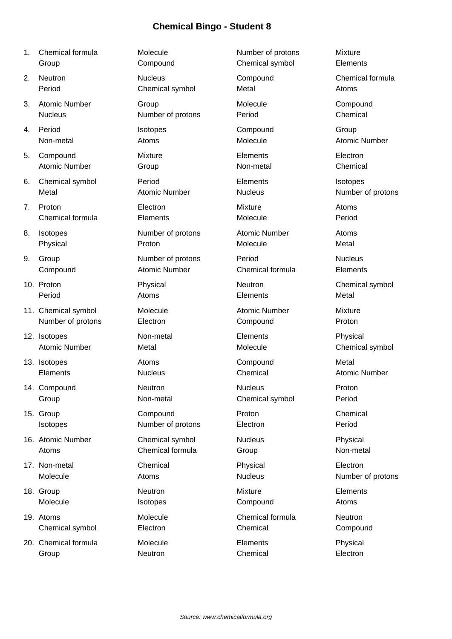- 1. Chemical formula **Molecule** Mumber of protons Mixture Group Compound Chemical symbol Elements
- 
- 3. Atomic Number Group Group Compound Molecule Compound
- 
- 5. Compound Mixture Elements Electron Atomic Number **Group** Group Non-metal Chemical Chemical
- 6. Chemical symbol Period Elements Isotopes Metal **Atomic Number** Nucleus Nucleus Number of protons
- 7. Proton Electron Mixture Atoms Chemical formula Elements Molecule Period
- 
- 
- 
- 11. Chemical symbol **Molecule** Molecule Atomic Number Mixture Number of protons **Electron** Electron **Compound** Proton
- 12. Isotopes Non-metal Elements Physical Atomic Number **Metal** Metal Molecule Molecule Chemical symbol
- 
- 14. Compound Neutron Nucleus Proton
- 
- 16. Atomic Number Chemical symbol Nucleus Nucleus Physical
- 17. Non-metal Chemical Physical Electron Molecule **Atoms** Atoms **Nucleus** Atoms **Nucleus Number of protons**
- 18. Group **Neutron** Neutron **Mixture** Mixture **Elements**
- 19. Atoms **Chemical Formula** Chemical formula Chemical formula Chemical symbol Electron Chemical Compound
- 20. Chemical formula Molecule **Elements** Physical Group **Chemical** Chemical Electron Chemical Electron

2. Neutron **Nucleus** Compound Chemical formula

Nucleus Number of protons Period Chemical

Physical **Proton Molecule** Molecule Metal

9. Group Contract Number of protons Period Contract Nucleus Compound Atomic Number Chemical formula Elements

Isotopes Number of protons Electron Period

Atoms Chemical formula Group Constants Chemical Chemical Constants Group Constants Non-metal

Period Chemical symbol Metal Metal Atoms 4. Period Isotopes Compound Group Non-metal **Atoms** Atoms Molecule Atomic Number 8. Isotopes **Number of protons** Atomic Number Atoms Period **Atoms** Atoms **Elements** Metal 13. Isotopes **Atoms** Atoms Compound Metal Elements Nucleus Chemical Atomic Number Group Non-metal Chemical symbol Period 15. Group Compound Proton Chemical Proton Chemical

Molecule **Isotopes** Isotopes Compound Atoms

10. Proton **Physical** Physical Neutron Neutron Chemical symbol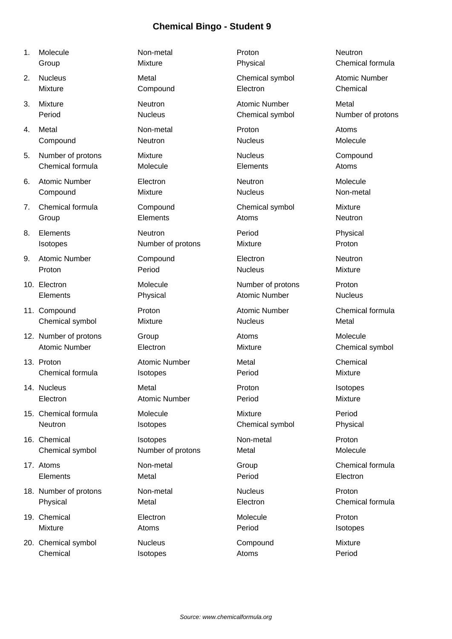- 
- 
- 
- 
- 5. Number of protons Mixture Nucleus Nucleus Compound
- 
- 
- 
- 
- 
- 
- 
- 
- 
- 
- 
- 
- 
- 
- 20. Chemical symbol **Nucleus** Compound Mixture Chemical **Isotopes** Atoms **Period** Period

1. Molecule **Non-metal** Proton **Neutron** Neutron Group **Mixture** Mixture **Physical Chemical formula** 2. Nucleus **Chemical Symbol** Atomic Number Chemical symbol Atomic Number Mixture Compound Electron Chemical 3. Mixture **Neutron** Neutron **Atomic Number** Metal Period Nucleus Nucleus Chemical symbol Number of protons 4. Metal **Atoms** Non-metal **Proton Atoms** Atoms Compound Neutron Nucleus Molecule Chemical formula Molecule Elements Atoms 6. Atomic Number **Electron** Electron Neutron Neutron Molecule Compound **Mixture** Mixture Nucleus Non-metal 7. Chemical formula Compound Chemical symbol Mixture Group **Elements Atoms** Neutron Neutron 8. Elements **Neutron Period** Period Physical Isotopes Number of protons Mixture Proton 9. Atomic Number Compound Electron Neutron Proton **Period** Period **Period** Proton **Proton Mixture** 10. Electron **Contact Molecule** Contact Mumber of protons Proton Elements **Physical** Physical Atomic Number Nucleus 11. Compound **Proton** Proton Atomic Number Chemical formula Chemical symbol Mixture Musleus Nucleus Metal 12. Number of protons Group Group Atoms Atoms Molecule Atomic Number **Electron** Electron Mixture Chemical symbol 13. Proton **Atomic Number** Metal Chemical Chemical Atomic Number Metal Chemical Chemical formula isotopes **In the Chemical Feriod** Mixture 14. Nucleus **Proton Isotopes** Metal Proton Proton Isotopes Electron Atomic Number Period Mixture 15. Chemical formula Molecule Mixture Period Neutron **Isotopes** Chemical symbol Physical Symbol Physical 16. Chemical **Isotopes Isotopes** Non-metal Proton Chemical symbol Number of protons Metal Molecule 17. Atoms **Non-metal** Group Group Chemical formula Elements Metal Period Electron 18. Number of protons Mon-metal Nucleus Nucleus Proton Physical **Metal** Metal Electron **Chemical formula** 19. Chemical Electron Molecule Proton Mixture **Atoms** Atoms **Period** Period Isotopes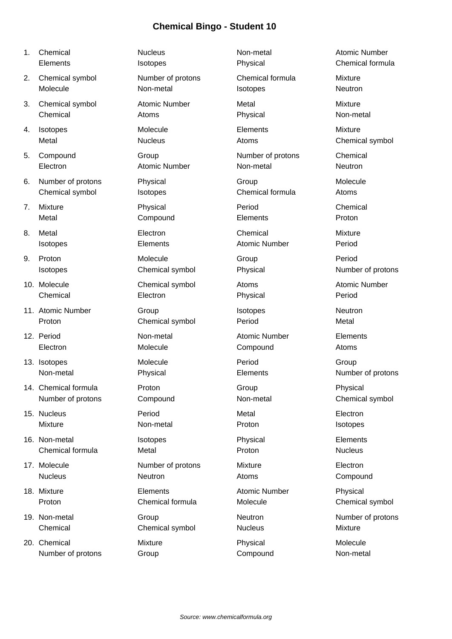| 1. | Chemical             | <b>Nucleus</b>       | Non-metal               | <b>Atomic Number</b> |
|----|----------------------|----------------------|-------------------------|----------------------|
|    | Elements             | Isotopes             | Physical                | Chemical formula     |
| 2. | Chemical symbol      | Number of protons    | <b>Chemical formula</b> | <b>Mixture</b>       |
|    | Molecule             | Non-metal            | Isotopes                | Neutron              |
| 3. | Chemical symbol      | <b>Atomic Number</b> | Metal                   | <b>Mixture</b>       |
|    | Chemical             | Atoms                | Physical                | Non-metal            |
| 4. | Isotopes             | Molecule             | Elements                | Mixture              |
|    | Metal                | <b>Nucleus</b>       | Atoms                   | Chemical symbol      |
| 5. | Compound             | Group                | Number of protons       | Chemical             |
|    | Electron             | <b>Atomic Number</b> | Non-metal               | Neutron              |
| 6. | Number of protons    | Physical             | Group                   | Molecule             |
|    | Chemical symbol      | Isotopes             | Chemical formula        | Atoms                |
| 7. | Mixture              | Physical             | Period                  | Chemical             |
|    | Metal                | Compound             | Elements                | Proton               |
| 8. | Metal                | Electron             | Chemical                | <b>Mixture</b>       |
|    | Isotopes             | Elements             | <b>Atomic Number</b>    | Period               |
| 9. | Proton               | Molecule             | Group                   | Period               |
|    | <b>Isotopes</b>      | Chemical symbol      | Physical                | Number of protons    |
|    | 10. Molecule         | Chemical symbol      | Atoms                   | <b>Atomic Number</b> |
|    | Chemical             | Electron             | Physical                | Period               |
|    | 11. Atomic Number    | Group                | Isotopes                | Neutron              |
|    | Proton               | Chemical symbol      | Period                  | Metal                |
|    | 12. Period           | Non-metal            | <b>Atomic Number</b>    | Elements             |
|    | Electron             | Molecule             | Compound                | Atoms                |
|    | 13. Isotopes         | Molecule             | Period                  | Group                |
|    | Non-metal            | Physical             | Elements                | Number of protons    |
|    | 14. Chemical formula | Proton               | Group                   | Physical             |
|    | Number of protons    | Compound             | Non-metal               | Chemical symbol      |
|    | 15. Nucleus          | Period               | Metal                   | Electron             |
|    | Mixture              | Non-metal            | Proton                  | Isotopes             |
|    | 16. Non-metal        | Isotopes             | Physical                | Elements             |
|    | Chemical formula     | Metal                | Proton                  | <b>Nucleus</b>       |
|    | 17. Molecule         | Number of protons    | <b>Mixture</b>          | Electron             |
|    | <b>Nucleus</b>       | Neutron              | Atoms                   | Compound             |
|    | 18. Mixture          | Elements             | <b>Atomic Number</b>    | Physical             |
|    | Proton               | Chemical formula     | Molecule                | Chemical symbol      |
|    | 19. Non-metal        | Group                | Neutron                 | Number of protons    |
|    | Chemical             | Chemical symbol      | <b>Nucleus</b>          | Mixture              |

20. Chemical **Mixture** Mixture **Physical** Physical Molecule Number of protons Group Group Compound Compound Non-metal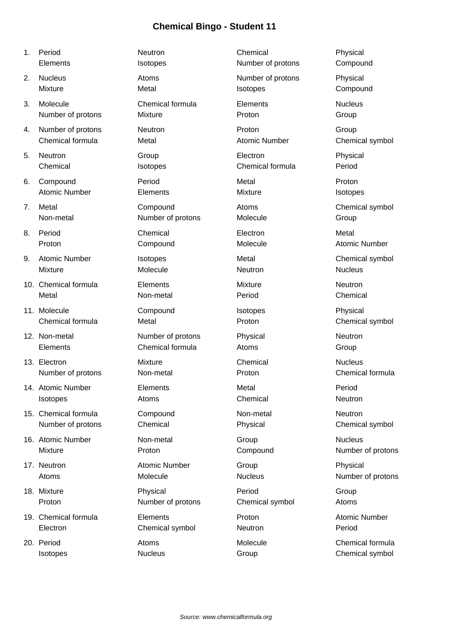- 
- 
- 
- 
- 
- 
- 
- 
- 
- 
- 
- 
- 
- 
- 
- 
- 
- 
- 
- 

1. Period Neutron Chemical Physical Elements Isotopes Number of protons Compound 2. Nucleus **Atoms** Atoms Number of protons Physical Mixture **Metal Metal** Isotopes Compound 3. Molecule Chemical formula Elements Nucleus Number of protons Mixture **Mixture** Proton **Proton Croup** 4. Number of protons Neutron Proton Group Chemical formula Metal Atomic Number Chemical symbol 5. Neutron Group Electron Physical Chemical Isotopes Chemical formula Period 6. Compound Period Metal Proton Atomic Number **Elements** Elements Mixture Mixture Isotopes 7. Metal **Compound** Compound Atoms Chemical symbol Non-metal **Number of protons** Molecule **Molecule** Group 8. Period **Electron** Chemical **Electron** Electron Metal Proton **Compound** Compound Molecule Atomic Number 9. Atomic Number Isotopes Metal Metal Chemical symbol Mixture **Molecule** Molecule **Neutron** Nucleus 10. Chemical formula **Elements** Elements Mixture Mixture Neutron Metal **Non-metal Non-metal** Period **Chemical** Chemical 11. Molecule **Compound** Isotopes **Physical** Chemical formula Metal Metal Proton Proton Chemical symbol 12. Non-metal **Number of protons** Physical Physical Neutron Elements Chemical formula Atoms Group 13. Electron **13. Electron** Chemical Chemical Nucleus Number of protons Mon-metal **Non-metal** Proton Chemical formula 14. Atomic Number Elements Metal Period Isotopes **Atoms** Atoms Chemical Chemical Neutron 15. Chemical formula Compound Non-metal Neutron Number of protons Chemical Physical Chemical symbol 16. Atomic Number **Non-metal** Group Company Nucleus Mixture **Proton** Proton Compound Number of protons 17. Neutron **Atomic Number** Group Group Physical Atoms Molecule Molecule Nucleus Number of protons 18. Mixture Physical Period Group Proton **Number of protons** Chemical symbol Atoms 19. Chemical formula  $\qquad \qquad$  Elements  $\qquad \qquad$  Proton  $\qquad \qquad$  Atomic Number Electron Chemical symbol Neutron Period

20. Period **Atoms** Atoms **Molecule** Molecule Chemical formula Isotopes **Isotopes** Nucleus **Nucleus** Group **Chemical symbol**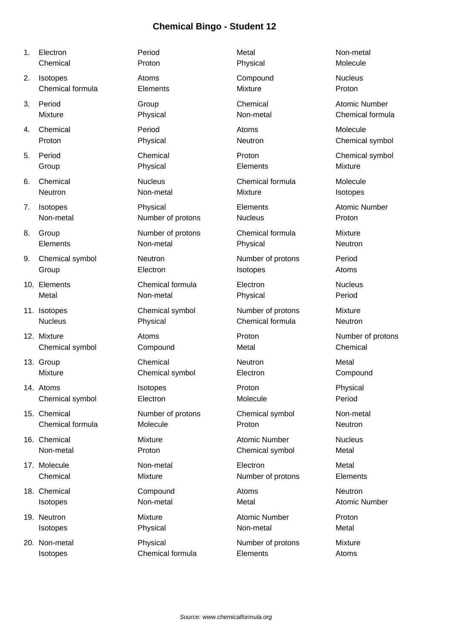| 1. | Electron         | Period            | Metal                | Non-metal            |
|----|------------------|-------------------|----------------------|----------------------|
|    | Chemical         | Proton            | Physical             | Molecule             |
| 2. | Isotopes         | Atoms             | Compound             | <b>Nucleus</b>       |
|    | Chemical formula | Elements          | <b>Mixture</b>       | Proton               |
| 3. | Period           | Group             | Chemical             | <b>Atomic Number</b> |
|    | <b>Mixture</b>   | Physical          | Non-metal            | Chemical formula     |
| 4. | Chemical         | Period            | Atoms                | Molecule             |
|    | Proton           | Physical          | Neutron              | Chemical symbol      |
| 5. | Period           | Chemical          | Proton               | Chemical symbol      |
|    | Group            | Physical          | Elements             | <b>Mixture</b>       |
| 6. | Chemical         | <b>Nucleus</b>    | Chemical formula     | Molecule             |
|    | Neutron          | Non-metal         | <b>Mixture</b>       | Isotopes             |
| 7. | Isotopes         | Physical          | Elements             | <b>Atomic Number</b> |
|    | Non-metal        | Number of protons | <b>Nucleus</b>       | Proton               |
| 8. | Group            | Number of protons | Chemical formula     | Mixture              |
|    | Elements         | Non-metal         | Physical             | Neutron              |
| 9. | Chemical symbol  | Neutron           | Number of protons    | Period               |
|    | Group            | Electron          | Isotopes             | Atoms                |
|    | 10. Elements     | Chemical formula  | Electron             | <b>Nucleus</b>       |
|    | Metal            | Non-metal         | Physical             | Period               |
|    | 11. Isotopes     | Chemical symbol   | Number of protons    | <b>Mixture</b>       |
|    | <b>Nucleus</b>   | Physical          | Chemical formula     | Neutron              |
|    | 12. Mixture      | Atoms             | Proton               | Number of protons    |
|    | Chemical symbol  | Compound          | Metal                | Chemical             |
|    | 13. Group        | Chemical          | <b>Neutron</b>       | Metal                |
|    | <b>Mixture</b>   | Chemical symbol   | Electron             | Compound             |
|    | 14. Atoms        | Isotopes          | Proton               | Physical             |
|    | Chemical symbol  | Electron          | Molecule             | Period               |
|    | 15. Chemical     | Number of protons | Chemical symbol      | Non-metal            |
|    | Chemical formula | Molecule          | Proton               | Neutron              |
|    | 16. Chemical     | Mixture           | <b>Atomic Number</b> | <b>Nucleus</b>       |
|    | Non-metal        | Proton            | Chemical symbol      | Metal                |
|    | 17. Molecule     | Non-metal         | Electron             | Metal                |
|    | Chemical         | Mixture           | Number of protons    | Elements             |
|    | 18. Chemical     | Compound          | Atoms                | Neutron              |
|    | Isotopes         | Non-metal         | Metal                | <b>Atomic Number</b> |
|    | 19. Neutron      | Mixture           | <b>Atomic Number</b> | Proton               |
|    | Isotopes         | Physical          | Non-metal            | Metal                |

20. Non-metal **Physical** Physical Number of protons Mixture Isotopes Chemical formula Elements Atoms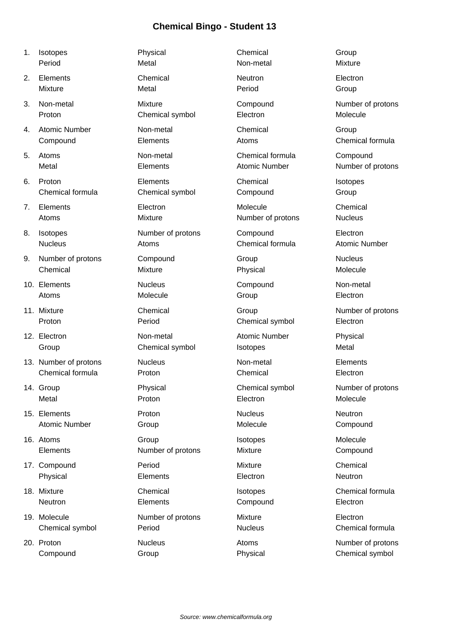- 
- 
- 
- 
- 
- 
- 
- 
- 
- 
- 
- 
- 
- 
- 
- 
- 
- 
- 

| 1. | Isotopes              | Physical          | Chemical             | Group                |
|----|-----------------------|-------------------|----------------------|----------------------|
|    | Period                | Metal             | Non-metal            | Mixture              |
| 2. | Elements              | Chemical          | Neutron              | Electron             |
|    | <b>Mixture</b>        | Metal             | Period               | Group                |
| 3. | Non-metal             | Mixture           | Compound             | Number of protons    |
|    | Proton                | Chemical symbol   | Electron             | Molecule             |
| 4. | <b>Atomic Number</b>  | Non-metal         | Chemical             | Group                |
|    | Compound              | Elements          | Atoms                | Chemical formula     |
| 5. | Atoms                 | Non-metal         | Chemical formula     | Compound             |
|    | Metal                 | Elements          | <b>Atomic Number</b> | Number of protons    |
| 6. | Proton                | Elements          | Chemical             | Isotopes             |
|    | Chemical formula      | Chemical symbol   | Compound             | Group                |
| 7. | Elements              | Electron          | Molecule             | Chemical             |
|    | Atoms                 | Mixture           | Number of protons    | <b>Nucleus</b>       |
| 8. | Isotopes              | Number of protons | Compound             | Electron             |
|    | <b>Nucleus</b>        | Atoms             | Chemical formula     | <b>Atomic Number</b> |
| 9. | Number of protons     | Compound          | Group                | <b>Nucleus</b>       |
|    | Chemical              | Mixture           | Physical             | Molecule             |
|    | 10. Elements          | <b>Nucleus</b>    | Compound             | Non-metal            |
|    | Atoms                 | Molecule          | Group                | Electron             |
|    | 11. Mixture           | Chemical          | Group                | Number of protons    |
|    | Proton                | Period            | Chemical symbol      | Electron             |
|    | 12. Electron          | Non-metal         | <b>Atomic Number</b> | Physical             |
|    | Group                 | Chemical symbol   | Isotopes             | Metal                |
|    | 13. Number of protons | <b>Nucleus</b>    | Non-metal            | Elements             |
|    | Chemical formula      | Proton            | Chemical             | Electron             |
|    | 14. Group             | Physical          | Chemical symbol      | Number of protons    |
|    | Metal                 | Proton            | Electron             | Molecule             |
|    | 15. Elements          | Proton            | <b>Nucleus</b>       | Neutron              |
|    | <b>Atomic Number</b>  | Group             | Molecule             | Compound             |
|    | 16. Atoms             | Group             | Isotopes             | Molecule             |
|    | Elements              | Number of protons | Mixture              | Compound             |
|    | 17. Compound          | Period            | <b>Mixture</b>       | Chemical             |
|    | Physical              | Elements          | Electron             | Neutron              |
|    | 18. Mixture           | Chemical          | Isotopes             | Chemical formula     |
|    | Neutron               | Elements          | Compound             | Electron             |
|    | 19. Molecule          | Number of protons | Mixture              | Electron             |
|    | Chemical symbol       | Period            | <b>Nucleus</b>       | Chemical formula     |
|    | 20. Proton            | <b>Nucleus</b>    | Atoms                | Number of protons    |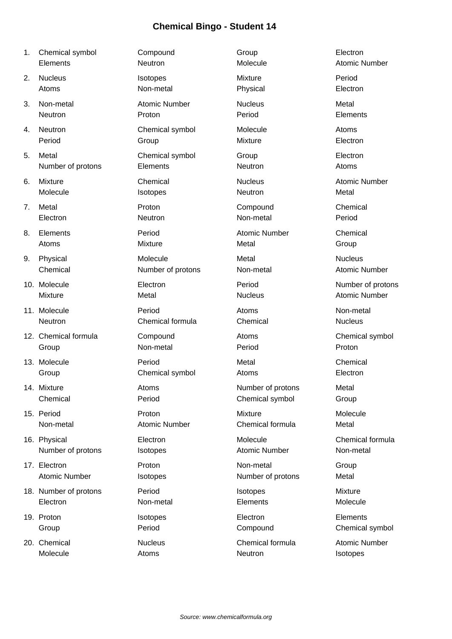- 
- 
- 
- 
- 
- 
- 
- 
- 
- 
- 
- 
- 
- 
- 
- 
- 
- 
- 
- 

| 1. | Chemical symbol       | Compound             | Group                | Electron             |
|----|-----------------------|----------------------|----------------------|----------------------|
|    | Elements              | Neutron              | Molecule             | <b>Atomic Number</b> |
| 2. | <b>Nucleus</b>        | Isotopes             | <b>Mixture</b>       | Period               |
|    | Atoms                 | Non-metal            | Physical             | Electron             |
| 3. | Non-metal             | <b>Atomic Number</b> | <b>Nucleus</b>       | Metal                |
|    | Neutron               | Proton               | Period               | Elements             |
| 4. | Neutron               | Chemical symbol      | Molecule             | Atoms                |
|    | Period                | Group                | <b>Mixture</b>       | Electron             |
| 5. | Metal                 | Chemical symbol      | Group                | Electron             |
|    | Number of protons     | Elements             | Neutron              | Atoms                |
| 6. | <b>Mixture</b>        | Chemical             | <b>Nucleus</b>       | <b>Atomic Number</b> |
|    | Molecule              | Isotopes             | Neutron              | Metal                |
| 7. | Metal                 | Proton               | Compound             | Chemical             |
|    | Electron              | Neutron              | Non-metal            | Period               |
| 8. | Elements              | Period               | <b>Atomic Number</b> | Chemical             |
|    | Atoms                 | Mixture              | Metal                | Group                |
| 9. | Physical              | Molecule             | Metal                | <b>Nucleus</b>       |
|    | Chemical              | Number of protons    | Non-metal            | <b>Atomic Number</b> |
|    | 10. Molecule          | Electron             | Period               | Number of protons    |
|    | Mixture               | Metal                | <b>Nucleus</b>       | <b>Atomic Number</b> |
|    | 11. Molecule          | Period               | Atoms                | Non-metal            |
|    | Neutron               | Chemical formula     | Chemical             | <b>Nucleus</b>       |
|    | 12. Chemical formula  | Compound             | Atoms                | Chemical symbol      |
|    | Group                 | Non-metal            | Period               | Proton               |
|    | 13. Molecule          | Period               | Metal                | Chemical             |
|    | Group                 | Chemical symbol      | Atoms                | Electron             |
|    | 14. Mixture           | Atoms                | Number of protons    | Metal                |
|    | Chemical              | Period               | Chemical symbol      | Group                |
|    | 15. Period            | Proton               | <b>Mixture</b>       | Molecule             |
|    | Non-metal             | <b>Atomic Number</b> | Chemical formula     | Metal                |
|    | 16. Physical          | Electron             | Molecule             | Chemical formula     |
|    | Number of protons     | Isotopes             | <b>Atomic Number</b> | Non-metal            |
|    | 17. Electron          | Proton               | Non-metal            | Group                |
|    | <b>Atomic Number</b>  | Isotopes             | Number of protons    | Metal                |
|    | 18. Number of protons | Period               | Isotopes             | Mixture              |
|    | Electron              | Non-metal            | Elements             | Molecule             |
|    | 19. Proton            | Isotopes             | Electron             | Elements             |
|    | Group                 | Period               | Compound             | Chemical symbol      |

20. Chemical **Chemical Chemical Formula** Chemical formula Atomic Number Molecule Atoms Neutron Isotopes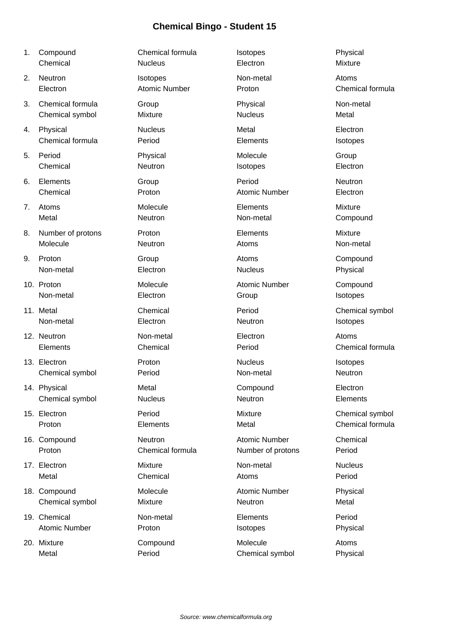| 1. | Compound             | Chemical formula     | Isotopes             | Physical         |
|----|----------------------|----------------------|----------------------|------------------|
|    | Chemical             | <b>Nucleus</b>       | Electron             | <b>Mixture</b>   |
| 2. | Neutron              | Isotopes             | Non-metal            | Atoms            |
|    | Electron             | <b>Atomic Number</b> | Proton               | Chemical formula |
| 3. | Chemical formula     | Group                | Physical             | Non-metal        |
|    | Chemical symbol      | <b>Mixture</b>       | <b>Nucleus</b>       | Metal            |
| 4. | Physical             | <b>Nucleus</b>       | Metal                | Electron         |
|    | Chemical formula     | Period               | Elements             | Isotopes         |
| 5. | Period               | Physical             | Molecule             | Group            |
|    | Chemical             | Neutron              | Isotopes             | Electron         |
| 6. | Elements             | Group                | Period               | Neutron          |
|    | Chemical             | Proton               | <b>Atomic Number</b> | Electron         |
| 7. | Atoms                | Molecule             | Elements             | <b>Mixture</b>   |
|    | Metal                | Neutron              | Non-metal            | Compound         |
| 8. | Number of protons    | Proton               | Elements             | <b>Mixture</b>   |
|    | Molecule             | <b>Neutron</b>       | Atoms                | Non-metal        |
| 9. | Proton               | Group                | Atoms                | Compound         |
|    | Non-metal            | Electron             | <b>Nucleus</b>       | Physical         |
|    | 10. Proton           | Molecule             | <b>Atomic Number</b> | Compound         |
|    | Non-metal            | Electron             | Group                | Isotopes         |
|    | 11. Metal            | Chemical             | Period               | Chemical symbol  |
|    | Non-metal            | Electron             | Neutron              | Isotopes         |
|    | 12. Neutron          | Non-metal            | Electron             | Atoms            |
|    | Elements             | Chemical             | Period               | Chemical formula |
|    | 13. Electron         | Proton               | <b>Nucleus</b>       | Isotopes         |
|    | Chemical symbol      | Period               | Non-metal            | Neutron          |
|    | 14. Physical         | Metal                | Compound             | Electron         |
|    | Chemical symbol      | <b>Nucleus</b>       | Neutron              | Elements         |
|    | 15. Electron         | Period               | Mixture              | Chemical symbol  |
|    | Proton               | Elements             | Metal                | Chemical formula |
|    | 16. Compound         | Neutron              | <b>Atomic Number</b> | Chemical         |
|    | Proton               | Chemical formula     | Number of protons    | Period           |
|    | 17. Electron         | Mixture              | Non-metal            | <b>Nucleus</b>   |
|    | Metal                | Chemical             | Atoms                | Period           |
|    | 18. Compound         | Molecule             | <b>Atomic Number</b> | Physical         |
|    | Chemical symbol      | Mixture              | Neutron              | Metal            |
|    | 19. Chemical         | Non-metal            | Elements             | Period           |
|    | <b>Atomic Number</b> | Proton               | Isotopes             | Physical         |

20. Mixture Compound Molecule Atoms Metal **Period** Period Chemical symbol Physical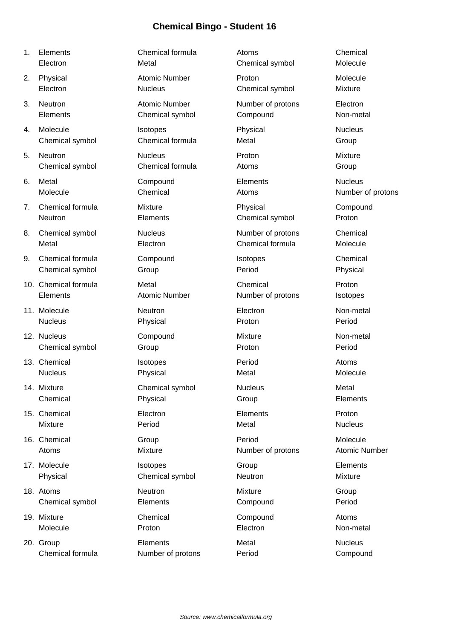- 
- 
- 
- 
- 
- 
- 
- 
- 
- 
- 
- 
- 
- 
- 
- 
- 
- 
- 
- 20. Group Elements Metal Nucleus

1. Elements Chemical formula Atoms Chemical Electron Metal Metal Chemical symbol Molecule 2. Physical **Atomic Number** Proton **Proton** Molecule Electron Nucleus Chemical symbol Mixture 3. Neutron **Atomic Number** Number **Number of protons** Electron Elements Chemical symbol Compound Non-metal 4. Molecule Isotopes Physical Nucleus Chemical symbol Chemical formula Metal Group 5. Neutron Nucleus Proton Mixture Chemical symbol Chemical formula Atoms Group 6. Metal Compound Elements Nucleus Molecule Chemical Chemical Atoms Mumber of protons 7. Chemical formula Mixture Physical Compound Neutron **Elements** Elements Chemical symbol Proton 8. Chemical symbol **Nucleus** Nucleus Number of protons Chemical Metal Electron Chemical formula Molecule 9. Chemical formula Compound Isotopes Chemical Chemical symbol Group Group Period Period Physical 10. Chemical formula Metal Chemical Proton Elements Atomic Number Number of protons Isotopes 11. Molecule **Neutron** Neutron **Electron** Electron Non-metal Nucleus Physical Proton Period 12. Nucleus **Compound** Mixture Mixture Non-metal Chemical symbol Group Crown Proton Period Period 13. Chemical **Isotopes Period** Period **Atoms** Nucleus **Physical Metal Metal** Metal Molecule 14. Mixture **Chemical symbol** Nucleus Nucleus Metal Chemical **Physical** Physical Group **Chemical** Elements 15. Chemical Electron Elements Proton Mixture **Reading Period** Period Metal Metal Mucleus 16. Chemical Group Period Molecule Atoms Mixture Mumber of protons Atomic Number 17. Molecule **Internal Isotopes** Croup Group Elements Physical Chemical symbol Neutron News Mixture 18. Atoms **Neutron** Neutron **Mixture** Mixture Group Chemical symbol Elements Compound Period 19. Mixture Chemical Compound Atoms Molecule **Proton** Proton **Electron Electron Non-metal** 

Chemical formula Number of protons Period Compound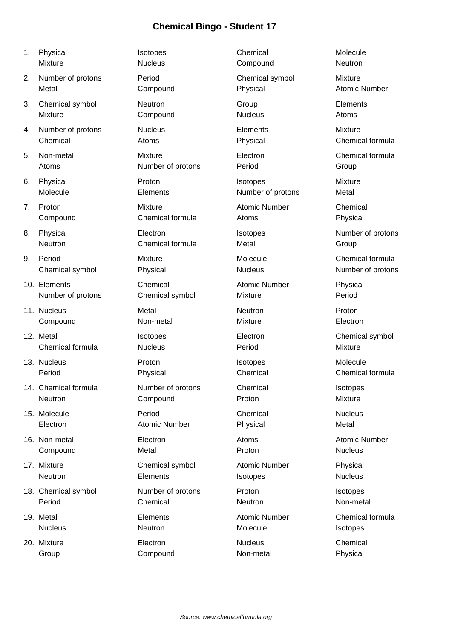| 1. | Physical             | Isotopes             | Chemical             | Molecule       |
|----|----------------------|----------------------|----------------------|----------------|
|    | <b>Mixture</b>       | <b>Nucleus</b>       | Compound             | Neutron        |
| 2. | Number of protons    | Period               | Chemical symbol      | Mixture        |
|    | Metal                | Compound             | Physical             | Atomic N       |
| 3. | Chemical symbol      | Neutron              | Group                | Elements       |
|    | Mixture              | Compound             | <b>Nucleus</b>       | Atoms          |
| 4. | Number of protons    | <b>Nucleus</b>       | Elements             | Mixture        |
|    | Chemical             | Atoms                | Physical             | Chemical       |
| 5. | Non-metal            | Mixture              | Electron             | Chemical       |
|    | Atoms                | Number of protons    | Period               | Group          |
| 6. | Physical             | Proton               | Isotopes             | <b>Mixture</b> |
|    | Molecule             | Elements             | Number of protons    | Metal          |
| 7. | Proton               | Mixture              | <b>Atomic Number</b> | Chemical       |
|    | Compound             | Chemical formula     | Atoms                | Physical       |
| 8. | Physical             | Electron             | Isotopes             | Number o       |
|    | Neutron              | Chemical formula     | Metal                | Group          |
| 9. | Period               | Mixture              | Molecule             | Chemical       |
|    | Chemical symbol      | Physical             | <b>Nucleus</b>       | Number o       |
|    | 10. Elements         | Chemical             | <b>Atomic Number</b> | Physical       |
|    | Number of protons    | Chemical symbol      | Mixture              | Period         |
|    | 11. Nucleus          | Metal                | Neutron              | Proton         |
|    | Compound             | Non-metal            | Mixture              | Electron       |
|    | 12. Metal            | Isotopes             | Electron             | Chemical       |
|    | Chemical formula     | <b>Nucleus</b>       | Period               | Mixture        |
|    | 13. Nucleus          | Proton               | Isotopes             | Molecule       |
|    | Period               | Physical             | Chemical             | Chemical       |
|    | 14. Chemical formula | Number of protons    | Chemical             | Isotopes       |
|    | Neutron              | Compound             | Proton               | Mixture        |
|    | 15. Molecule         | Period               | Chemical             | <b>Nucleus</b> |
|    | Electron             | <b>Atomic Number</b> | Physical             | Metal          |
|    | 16. Non-metal        | Electron             | Atoms                | Atomic N       |
|    | Compound             | Metal                | Proton               | <b>Nucleus</b> |
|    | 17. Mixture          | Chemical symbol      | <b>Atomic Number</b> | Physical       |
|    | Neutron              | Elements             | Isotopes             | <b>Nucleus</b> |

18. Chemical symbol **Number of protons** Proton Proton Isotopes Period Chemical Neutron Neutron Non-metal

20. Mixture **Electron** Electron Nucleus **Chemical** 

Atomic Number Chemical formula Chemical formula Number of protons Chemical formula Number of protons Chemical symbol Chemical formula Atomic Number 19. Metal **Elements** Elements Atomic Number Chemical formula Nucleus Neutron Molecule Isotopes Group Compound Non-metal Physical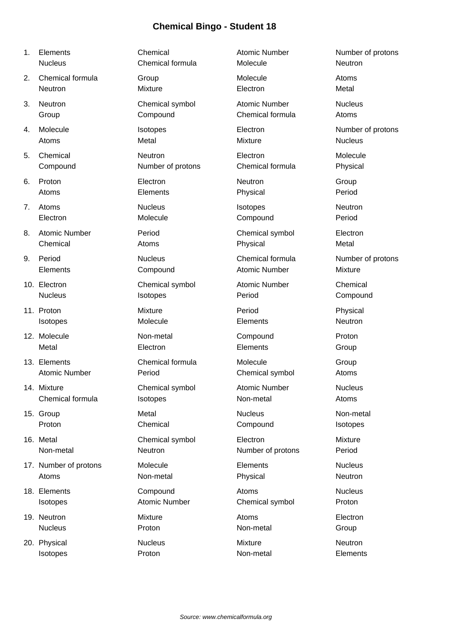| 1. | Elements              | Chemical             | <b>Atomic Number</b> | Number of protons |
|----|-----------------------|----------------------|----------------------|-------------------|
|    | <b>Nucleus</b>        | Chemical formula     | Molecule             | Neutron           |
| 2. | Chemical formula      | Group                | Molecule             | Atoms             |
|    | <b>Neutron</b>        | Mixture              | Electron             | Metal             |
| 3. | Neutron               | Chemical symbol      | <b>Atomic Number</b> | <b>Nucleus</b>    |
|    | Group                 | Compound             | Chemical formula     | Atoms             |
| 4. | Molecule              | Isotopes             | Electron             | Number of protons |
|    | Atoms                 | Metal                | <b>Mixture</b>       | <b>Nucleus</b>    |
| 5. | Chemical              | Neutron              | Electron             | Molecule          |
|    | Compound              | Number of protons    | Chemical formula     | Physical          |
| 6. | Proton                | Electron             | Neutron              | Group             |
|    | Atoms                 | Elements             | Physical             | Period            |
| 7. | Atoms                 | <b>Nucleus</b>       | Isotopes             | Neutron           |
|    | Electron              | Molecule             | Compound             | Period            |
| 8. | <b>Atomic Number</b>  | Period               | Chemical symbol      | Electron          |
|    | Chemical              | Atoms                | Physical             | Metal             |
| 9. | Period                | <b>Nucleus</b>       | Chemical formula     | Number of protons |
|    | Elements              | Compound             | <b>Atomic Number</b> | Mixture           |
|    | 10. Electron          | Chemical symbol      | <b>Atomic Number</b> | Chemical          |
|    | <b>Nucleus</b>        | Isotopes             | Period               | Compound          |
|    | 11. Proton            | Mixture              | Period               | Physical          |
|    | Isotopes              | Molecule             | Elements             | Neutron           |
|    | 12. Molecule          | Non-metal            | Compound             | Proton            |
|    | Metal                 | Electron             | Elements             | Group             |
|    | 13. Elements          | Chemical formula     | Molecule             | Group             |
|    | <b>Atomic Number</b>  | Period               | Chemical symbol      | Atoms             |
|    | 14. Mixture           | Chemical symbol      | Atomic Number        | <b>Nucleus</b>    |
|    | Chemical formula      | <b>Isotopes</b>      | Non-metal            | Atoms             |
|    | 15. Group             | Metal                | <b>Nucleus</b>       | Non-metal         |
|    | Proton                | Chemical             | Compound             | Isotopes          |
|    | 16. Metal             | Chemical symbol      | Electron             | Mixture           |
|    | Non-metal             | Neutron              | Number of protons    | Period            |
|    | 17. Number of protons | Molecule             | Elements             | <b>Nucleus</b>    |
|    | Atoms                 | Non-metal            | Physical             | Neutron           |
|    | 18. Elements          | Compound             | Atoms                | <b>Nucleus</b>    |
|    | Isotopes              | <b>Atomic Number</b> | Chemical symbol      | Proton            |
|    | 19. Neutron           | Mixture              | Atoms                | Electron          |
|    | <b>Nucleus</b>        | Proton               | Non-metal            | Group             |
|    | 20. Physical          | <b>Nucleus</b>       | Mixture              | Neutron           |

Isotopes **Proton** Proton Non-metal Elements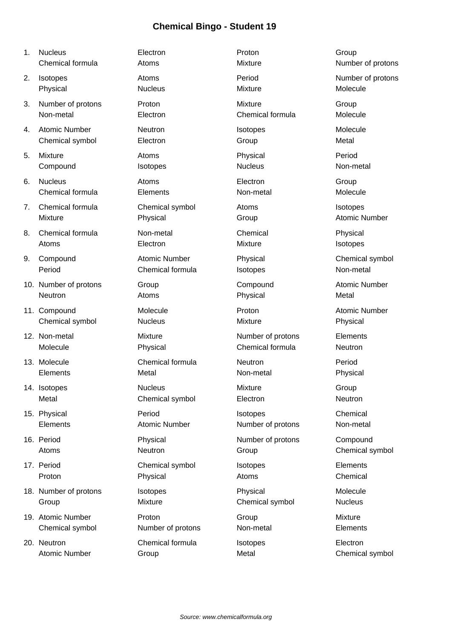| 1. | <b>Nucleus</b>        | Electron             | Proton            | Group                |
|----|-----------------------|----------------------|-------------------|----------------------|
|    | Chemical formula      | Atoms                | <b>Mixture</b>    | Number of protons    |
| 2. | Isotopes              | Atoms                | Period            | Number of protons    |
|    | Physical              | <b>Nucleus</b>       | <b>Mixture</b>    | Molecule             |
| 3. | Number of protons     | Proton               | <b>Mixture</b>    | Group                |
|    | Non-metal             | Electron             | Chemical formula  | Molecule             |
| 4. | <b>Atomic Number</b>  | Neutron              | Isotopes          | Molecule             |
|    | Chemical symbol       | Electron             | Group             | Metal                |
| 5. | Mixture               | Atoms                | Physical          | Period               |
|    | Compound              | Isotopes             | <b>Nucleus</b>    | Non-metal            |
| 6. | <b>Nucleus</b>        | Atoms                | Electron          | Group                |
|    | Chemical formula      | Elements             | Non-metal         | Molecule             |
| 7. | Chemical formula      | Chemical symbol      | Atoms             | Isotopes             |
|    | Mixture               | Physical             | Group             | <b>Atomic Number</b> |
| 8. | Chemical formula      | Non-metal            | Chemical          | Physical             |
|    | Atoms                 | Electron             | <b>Mixture</b>    | Isotopes             |
| 9. | Compound              | <b>Atomic Number</b> | Physical          | Chemical symbol      |
|    | Period                | Chemical formula     | Isotopes          | Non-metal            |
|    | 10. Number of protons | Group                | Compound          | <b>Atomic Number</b> |
|    | Neutron               | Atoms                | Physical          | Metal                |
|    | 11. Compound          | Molecule             | Proton            | <b>Atomic Number</b> |
|    | Chemical symbol       | <b>Nucleus</b>       | <b>Mixture</b>    | Physical             |
|    | 12. Non-metal         | Mixture              | Number of protons | Elements             |
|    | Molecule              | Physical             | Chemical formula  | Neutron              |
|    | 13. Molecule          | Chemical formula     | Neutron           | Period               |
|    | Elements              | Metal                | Non-metal         | Physical             |
|    | 14. Isotopes          | <b>Nucleus</b>       | Mixture           | Group                |
|    | Metal                 | Chemical symbol      | Electron          | Neutron              |
|    | 15. Physical          | Period               | Isotopes          | Chemical             |
|    | Elements              | <b>Atomic Number</b> | Number of protons | Non-metal            |
|    | 16. Period            | Physical             | Number of protons | Compound             |
|    | Atoms                 | Neutron              | Group             | Chemical symbol      |
|    | 17. Period            | Chemical symbol      | Isotopes          | Elements             |
|    | Proton                | Physical             | Atoms             | Chemical             |
|    | 18. Number of protons | Isotopes             | Physical          | Molecule             |
|    | Group                 | Mixture              | Chemical symbol   | <b>Nucleus</b>       |
|    | 19. Atomic Number     | Proton               | Group             | Mixture              |
|    | Chemical symbol       | Number of protons    | Non-metal         | Elements             |
|    | 20. Neutron           | Chemical formula     | Isotopes          | Electron             |
|    | <b>Atomic Number</b>  | Group                | Metal             | Chemical symbol      |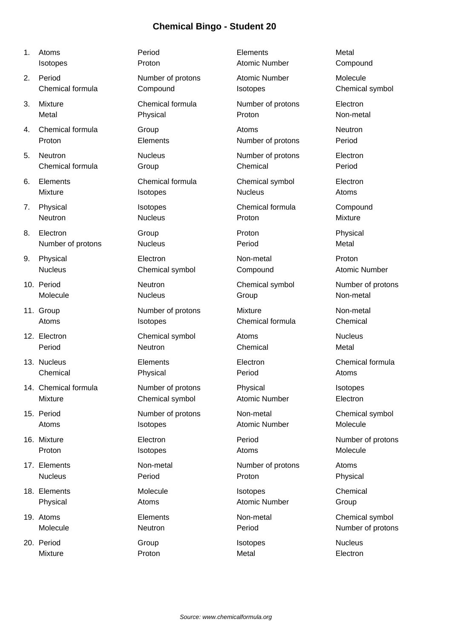- 
- 
- 
- 
- 
- 
- 
- 
- 
- 
- 
- 
- 
- 
- 
- 
- 
- 
- 

1. Atoms Period Elements Metal Isotopes **Proton** Proton **Atomic Number** Compound 2. Period **Number of protons** Atomic Number Molecule Chemical formula Compound Isotopes Chemical symbol 3. Mixture Chemical formula Number of protons Electron Metal Physical Proton Non-metal 4. Chemical formula Group Atoms Atoms Neutron Proton **Elements** Elements Number of protons Period 5. Neutron Nucleus Number of protons Electron Chemical formula Group Chemical Period 6. Elements Chemical formula Chemical symbol Electron Mixture Isotopes Nucleus Atoms 7. Physical **Internal Isotopes** Chemical formula Compound Neutron **Nucleus** Nucleus **Proton** Mixture 8. Electron **Community** Group **Community** Proton **Physical** Physical Number of protons Mucleus **Number of protons** Nucleus **Period** Period Metal 9. Physical **Electron** Electron Non-metal Proton Nucleus **Chemical symbol** Compound Atomic Number 10. Period **Neutron** Neutron **Chemical symbol** Number of protons Molecule **Nucleus** Nucleus Group Group Non-metal 11. Group **Number of protons** Mixture Mixture Non-metal Atoms **Isotopes** Chemical formula Chemical 12. Electron Chemical symbol Atoms Nucleus Period **Neutron** Neutron **Chemical** Metal 13. Nucleus Elements Electron Chemical formula Chemical Physical Period Atoms 14. Chemical formula **Number of protons** Physical **Internal Isotopes** Mixture Chemical symbol Atomic Number Electron 15. Period **Number of protons** Non-metal Chemical symbol Atoms **Internal Isotopes Atomic Number** Molecule 16. Mixture **Electron** Electron **Period** Period Number of protons Proton **International Isotopes** Atoms Atoms Molecule 17. Elements **Non-metal** Non-metal Number of protons Atoms Nucleus **Period** Period **Proton Proton** Proton Physical 18. Elements **Isotopes** Chemical Molecule **Isotopes** Chemical Isotopes Chemical Physical **Atomic Atomic Atomic Number** Group 19. Atoms **Elements** Elements Non-metal Chemical symbol Molecule Meutron Neutron Period Period Number of protons

20. Period Group Isotopes Nucleus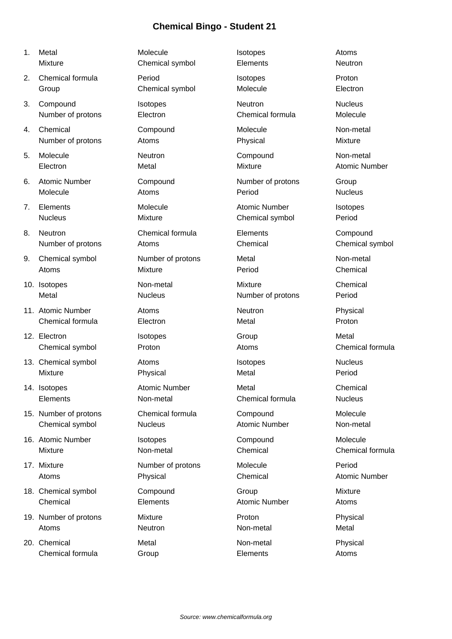2. Chemical formula **Period** Period **Isotopes** Proton

3. Compound Isotopes Neutron Neutron Nucleus

4. Chemical Compound Molecule Non-metal

6. Atomic Number Compound Number of protons Group

8. Neutron **Chemical formula** Elements Compound

12. Electron **International Communist Crown Crown Crown** Group Metal

15. Number of protons Chemical formula Compound Molecule

19. Number of protons Mixture Proton Physical

20. Chemical **Metal** Metal Non-metal Physical Chemical formula Group Chemical Atoms

1. Metal **Internal Molecule** Isotopes Atoms Mixture Chemical symbol Elements Neutron Group Chemical symbol Molecule Molecule Electron Number of protons Electron Chemical formula Molecule Number of protons Atoms Atoms **Atoms** Physical Mixture 5. Molecule **Neutron** Neutron Compound Non-metal Electron Metal Mixture Atomic Number Molecule **Atoms** Atoms **Period** Period Mucleus 7. Elements **Molecule** Atomic Number **Isotopes** Nucleus **Mixture** Mixture **Chemical symbol** Period Number of protons Atoms Chemical Chemical symbol 9. Chemical symbol Number of protons Metal Non-metal Atoms **Mixture** Mixture **Period** Chemical 10. Isotopes **Non-metal** Mixture Mixture Chemical Metal **Nucleus** Nucleus Number of protons Period 11. Atomic Number **Atoms** Atoms **Neutron Neutron** Physical Chemical formula Electron Metal Proton Chemical symbol **Proton** Proton Atoms Atoms Chemical formula 13. Chemical symbol **Atoms** Isotopes **Isotopes Isotopes** Nucleus Mixture Physical Metal Period 14. Isotopes **Atomic Number** Metal Chemical Chemical Chemical Chemical Chemical Chemical Elements Non-metal Chemical formula Nucleus Chemical symbol Nucleus Atomic Number Non-metal 16. Atomic Number Isotopes Compound Molecule Mixture Non-metal Chemical Chemical Chemical Chemical formula 17. Mixture **Number of protons** Molecule **Number of protons** Molecule Period Atoms **Physical** Physical Chemical Atomic Number 18. Chemical symbol Compound Compound Group Compound Group Mixture Chemical Elements Atomic Number Atoms Atoms **Neutron** Neutron Non-metal Metal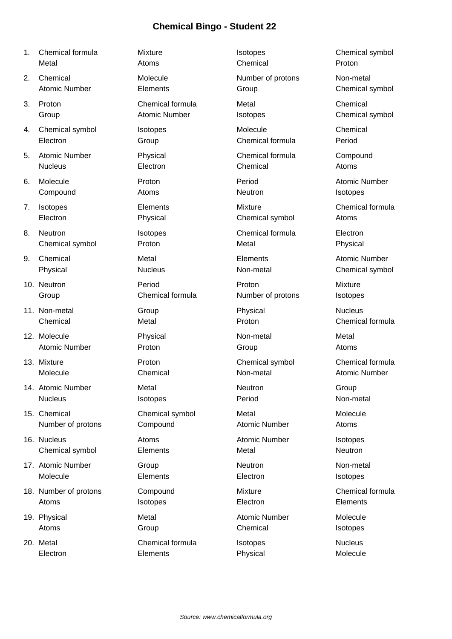- 1. Chemical formula **Internal Mixture** Chemical symbol **Isotopes** Chemical symbol Metal **Atoms** Atoms Chemical Chemical Proton
- 
- 
- 4. Chemical symbol isotopes Chemical Chemical Chemical Chemical Chemical Chemical Chemical Chemical Chemical Chemical Chemical Chemical Chemical Chemical Chemical Chemical Chemical Chemical Chemical Chemical Chemical Chemi
- 5. Atomic Number Physical Chemical formula Compound
- 
- 
- 8. Neutron **Internal Isotopes** Chemical formula Electron
- 
- 
- 
- 
- 
- 
- 15. Chemical Chemical symbol Metal Molecule
- 16. Nucleus **Atomic Atomic Atomic Number** Isotopes
- 
- 18. Number of protons Compound Mixture Chemical formula
- 

2. Chemical Molecule Molecule Number of protons Non-metal Atomic Number **Elements** Elements Group Chemical symbol 3. Proton Chemical formula Metal Chemical Group **Atomic Number** Isotopes **Chemical symbol** Scroup Atomic Number Electron Group Chemical formula Period Nucleus **Electron** Chemical Chemical Atoms 6. Molecule **Proton Period** Period Period Atomic Number Compound **Atoms** Atoms **Neutron** Isotopes 7. Isotopes **Elements** Elements Mixture Mixture Chemical formula Electron **Physical** Physical Chemical symbol Atoms Chemical symbol Proton Metal Physical 9. Chemical **Metal** Metal Elements **Atomic Number** Physical Nucleus Nucleus Non-metal Chemical symbol 10. Neutron **Period** Period **Proton Proton** Proton Mixture Group Chemical formula Number of protons Isotopes 11. Non-metal **Communists** Group **Physical** Physical **Physical** Physical Rucleus Chemical Metal Proton Chemical formula 12. Molecule **Non-metal** Physical **Non-metal** Metal Atomic Number **Proton** Proton Group **Atoms** 13. Mixture Proton Chemical symbol Chemical formula Molecule Chemical Non-metal Atomic Number 14. Atomic Number **Metal** Metal Neutron **Neutron** Group Nucleus **International Isotopes Period** Period Non-metal Number of protons Compound Atomic Number Atoms Chemical symbol Elements Metal Neutron 17. Atomic Number Group Group Neutron Neutron Non-metal Molecule **Elements** Electron Electron Isotopes Atoms **Internal Elements** Isotopes **Internal Elements** Elements 19. Physical **Metal Metal Atomic Number** Molecule Atoms Group Chemical Chemical Isotopes 20. Metal **Chemical formula** Isotopes **Nucleus** Nucleus

Electron Elements Physical Molecule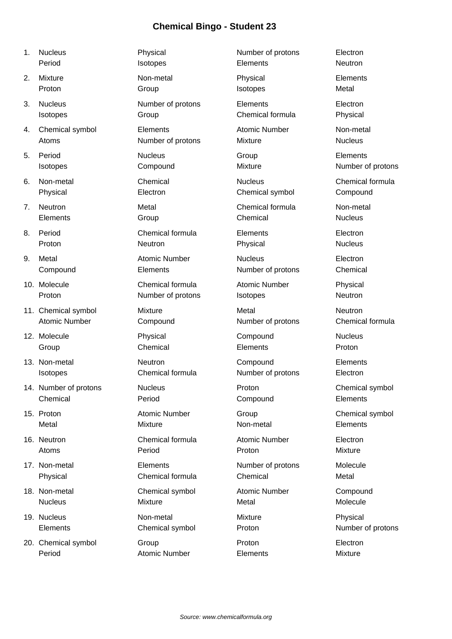- 1. Nucleus **Physical** Physical Number of protons Electron Period **Intervellet Elements** Neutron Neutron **Isotopes** Elements **Neutron** 2. Mixture **Non-metal Physical Elements** Proton Group Isotopes Metal 3. Nucleus **Number of protons** Elements Electron **Isotopes** Croup Community Chemical formula Physical 4. Chemical symbol **Elements Atomic Number** Mon-metal Atoms **Number of protons** Mixture Mixture Nucleus 5. Period Nucleus Group Elements Isotopes **Compound** Compound Mixture Mixture Number of protons 6. Non-metal Chemical Nucleus Chemical formula Physical Electron Electron Chemical symbol Compound 7. Neutron **Metal** Metal Chemical formula Non-metal Elements Croup Croup Chemical Chemical Nucleus 8. Period Chemical formula Elements Electron Proton **Neutron** Neutron **Physical** Physical Nucleus 9. Metal **Atomic Number** Nucleus **Atomic Number** Nucleus Electron Compound Elements Number of protons Chemical 10. Molecule Chemical formula Atomic Number Physical Proton **Number of protons** Isotopes Neutron **Neutron** 11. Chemical symbol Mixture **Mixture** Metal Metal Neutron Atomic Number Compound Compound Number of protons Chemical formula 12. Molecule Physical Compound Nucleus Group Chemical Elements Proton 13. Non-metal **Neutron** Neutron **Compound** Elements Isotopes Chemical formula Number of protons Electron 14. Number of protons Mucleus Nucleus Proton Chemical symbol Chemical Period Compound Elements 15. Proton **Atomic Number** Group Chemical symbol Chemical symbol Metal **Mixture** Mixture **Non-metal** Elements 16. Neutron Chemical formula Atomic Number Electron Atoms Period Proton Mixture 17. Non-metal **Elements** Elements Number of protons Molecule Physical Chemical formula Chemical Metal
	-
	-

20. Chemical symbol Group Group Proton Proton Electron Period **Atomic Number** Elements Mixture

18. Non-metal **Chemical symbol** Atomic Number Compound Nucleus **Mixture** Mixture Metal Metal Molecule 19. Nucleus Non-metal Mixture Physical Elements Chemical symbol Proton Number of protons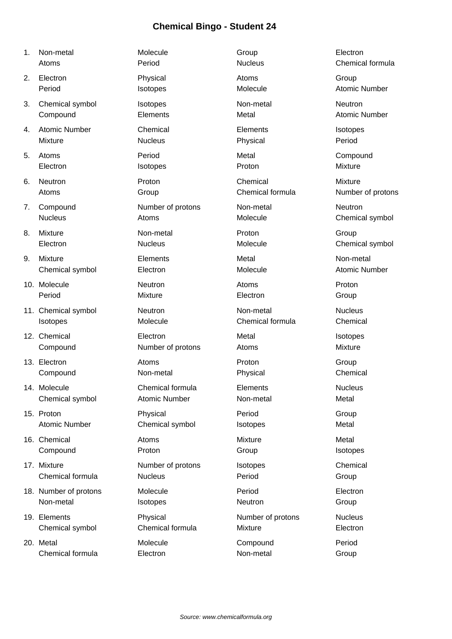| Non-metal | Molecule | Group          | Electron |
|-----------|----------|----------------|----------|
| Atoms     | Period   | <b>Nucleus</b> | Chemica  |

- 
- 
- 
- 
- 
- 
- 
- 
- 
- 
- 
- 
- 
- 
- 
- 
- 
- 
- 20. Metal Molecule Compound Period Chemical formula **Electron Electron** Non-metal Group

Period **Nucleus** Nucleus **Chemical formula** 2. Electron Physical Atoms Group Period **Internal Isotopes** Molecule Atomic Number 3. Chemical symbol isotopes Non-metal Non-metal Neutron **Compound Elements** Elements Metal Metal Atomic Number 4. Atomic Number Chemical Elements Isotopes Mixture Nucleus Physical Period 5. Atoms Period Metal Compound Electron **Isotopes Proton Isotopes Proton Mixture** 6. Neutron Proton Chemical Mixture Atoms **Group** Group Chemical formula Number of protons 7. Compound **Number of protons** Non-metal Non-metal Neutron Nucleus **Atoms** Atoms Molecule Molecule Chemical symbol 8. Mixture **Non-metal** Proton Broton Group Electron Nucleus Molecule Chemical symbol 9. Mixture Elements Metal Non-metal Chemical symbol **Electron Electron** Molecule **Molecule** Atomic Number 10. Molecule **Neutron** Neutron **Atoms** Atoms Proton Period **Mixture Electron** Electron Group 11. Chemical symbol **Neutron** Neutron Non-metal Nucleus Isotopes Molecule Chemical formula Chemical 12. Chemical **Electron** Electron Metal Metal Isotopes **Compound Compound Compound Number of protons Atoms Atoms Mixture** 13. Electron **Atoms** Atoms **Proton Broton** Group Compound Non-metal Physical Chemical 14. Molecule Chemical formula Elements Nucleus Chemical symbol Atomic Number Non-metal Metal 15. Proton Physical Period Group Atomic Number Chemical symbol Isotopes Chemical symbol Isotopes and Metal 16. Chemical **Atoms** Mixture Mixture Metal Compound Proton Proton Group Compound Proton Compound Botopes 17. Mixture **Number of protons** Isotopes Chemical Chemical formula Nucleus Period Group 18. Number of protons Molecule Period Electron Non-metal **Isotopes Neutron** Group 19. Elements **Physical** Physical Number of protons Nucleus Chemical symbol Chemical formula Mixture Electron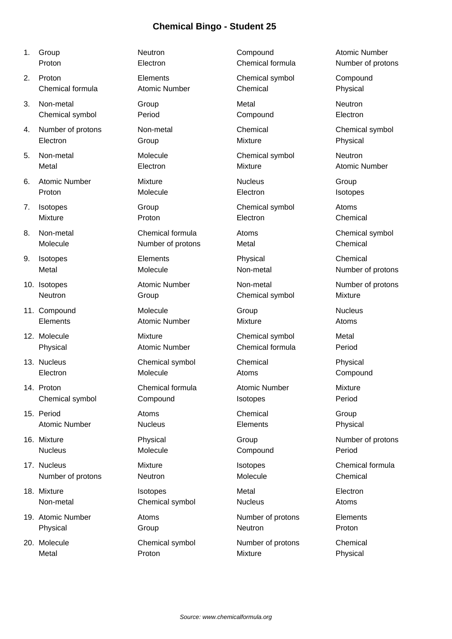| 1. | Group                | Neutron              | Compound             | <b>Atomic Number</b> |
|----|----------------------|----------------------|----------------------|----------------------|
|    | Proton               | Electron             | Chemical formula     | Number of protons    |
| 2. | Proton               | Elements             | Chemical symbol      | Compound             |
|    | Chemical formula     | <b>Atomic Number</b> | Chemical             | Physical             |
| 3. | Non-metal            | Group                | Metal                | Neutron              |
|    | Chemical symbol      | Period               | Compound             | Electron             |
| 4. | Number of protons    | Non-metal            | Chemical             | Chemical symbol      |
|    | Electron             | Group                | <b>Mixture</b>       | Physical             |
| 5. | Non-metal            | Molecule             | Chemical symbol      | Neutron              |
|    | Metal                | Electron             | <b>Mixture</b>       | <b>Atomic Number</b> |
| 6. | <b>Atomic Number</b> | Mixture              | <b>Nucleus</b>       | Group                |
|    | Proton               | Molecule             | Electron             | Isotopes             |
| 7. | Isotopes             | Group                | Chemical symbol      | Atoms                |
|    | <b>Mixture</b>       | Proton               | Electron             | Chemical             |
| 8. | Non-metal            | Chemical formula     | Atoms                | Chemical symbol      |
|    | Molecule             | Number of protons    | Metal                | Chemical             |
| 9. | Isotopes             | Elements             | Physical             | Chemical             |
|    | Metal                | Molecule             | Non-metal            | Number of protons    |
|    | 10. Isotopes         | <b>Atomic Number</b> | Non-metal            | Number of protons    |
|    | Neutron              | Group                | Chemical symbol      | <b>Mixture</b>       |
|    | 11. Compound         | Molecule             | Group                | <b>Nucleus</b>       |
|    | Elements             | <b>Atomic Number</b> | Mixture              | Atoms                |
|    | 12. Molecule         | Mixture              | Chemical symbol      | Metal                |
|    | Physical             | <b>Atomic Number</b> | Chemical formula     | Period               |
|    | 13. Nucleus          | Chemical symbol      | Chemical             | Physical             |
|    | Electron             | Molecule             | Atoms                | Compound             |
|    | 14. Proton           | Chemical formula     | <b>Atomic Number</b> | <b>Mixture</b>       |
|    | Chemical symbol      | Compound             | Isotopes             | Period               |
|    | 15. Period           | Atoms                | Chemical             | Group                |
|    | <b>Atomic Number</b> | <b>Nucleus</b>       | Elements             | Physical             |
|    | 16. Mixture          | Physical             | Group                | Number of protons    |
|    | <b>Nucleus</b>       | Molecule             | Compound             | Period               |
|    | 17. Nucleus          | Mixture              | Isotopes             | Chemical formula     |
|    | Number of protons    | Neutron              | Molecule             | Chemical             |
|    | 18. Mixture          | Isotopes             | Metal                | Electron             |
|    | Non-metal            | Chemical symbol      | <b>Nucleus</b>       | Atoms                |
|    | 19. Atomic Number    | Atoms                | Number of protons    | Elements             |
|    | Physical             | Group                | Neutron              | Proton               |

20. Molecule **Chemical symbol** Number of protons Chemical Metal Proton Mixture Physical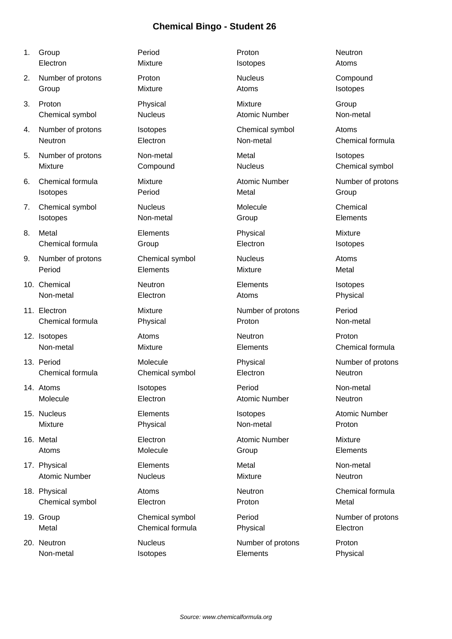| 1. | Group                | Period           | Proton               | Neutron              |
|----|----------------------|------------------|----------------------|----------------------|
|    | Electron             | Mixture          | Isotopes             | Atoms                |
| 2. | Number of protons    | Proton           | <b>Nucleus</b>       | Compound             |
|    | Group                | Mixture          | Atoms                | Isotopes             |
| 3. | Proton               | Physical         | <b>Mixture</b>       | Group                |
|    | Chemical symbol      | <b>Nucleus</b>   | <b>Atomic Number</b> | Non-metal            |
| 4. | Number of protons    | Isotopes         | Chemical symbol      | Atoms                |
|    | <b>Neutron</b>       | Electron         | Non-metal            | Chemical formula     |
| 5. | Number of protons    | Non-metal        | Metal                | Isotopes             |
|    | <b>Mixture</b>       | Compound         | <b>Nucleus</b>       | Chemical symbol      |
| 6. | Chemical formula     | Mixture          | <b>Atomic Number</b> | Number of protons    |
|    | Isotopes             | Period           | Metal                | Group                |
| 7. | Chemical symbol      | <b>Nucleus</b>   | Molecule             | Chemical             |
|    | Isotopes             | Non-metal        | Group                | Elements             |
| 8. | Metal                | Elements         | Physical             | Mixture              |
|    | Chemical formula     | Group            | Electron             | Isotopes             |
| 9. | Number of protons    | Chemical symbol  | <b>Nucleus</b>       | Atoms                |
|    | Period               | Elements         | <b>Mixture</b>       | Metal                |
|    | 10. Chemical         | Neutron          | Elements             | Isotopes             |
|    | Non-metal            | Electron         | Atoms                | Physical             |
|    | 11. Electron         | Mixture          | Number of protons    | Period               |
|    | Chemical formula     | Physical         | Proton               | Non-metal            |
|    | 12. Isotopes         | Atoms            | Neutron              | Proton               |
|    | Non-metal            | Mixture          | Elements             | Chemical formula     |
|    | 13. Period           | Molecule         | Physical             | Number of protons    |
|    | Chemical formula     | Chemical symbol  | Electron             | <b>Neutron</b>       |
|    | 14. Atoms            | Isotopes         | Period               | Non-metal            |
|    | Molecule             | Electron         | <b>Atomic Number</b> | Neutron              |
|    | 15. Nucleus          | Elements         | Isotopes             | <b>Atomic Number</b> |
|    | <b>Mixture</b>       | Physical         | Non-metal            | Proton               |
|    | 16. Metal            | Electron         | <b>Atomic Number</b> | Mixture              |
|    | Atoms                | Molecule         | Group                | Elements             |
|    | 17. Physical         | Elements         | Metal                | Non-metal            |
|    | <b>Atomic Number</b> | <b>Nucleus</b>   | <b>Mixture</b>       | Neutron              |
|    | 18. Physical         | Atoms            | Neutron              | Chemical formula     |
|    | Chemical symbol      | Electron         | Proton               | Metal                |
|    | 19. Group            | Chemical symbol  | Period               | Number of protons    |
|    | Metal                | Chemical formula | Physical             | Electron             |
|    | 20. Neutron          | <b>Nucleus</b>   | Number of protons    | Proton               |
|    | Non-metal            | Isotopes         | Elements             | Physical             |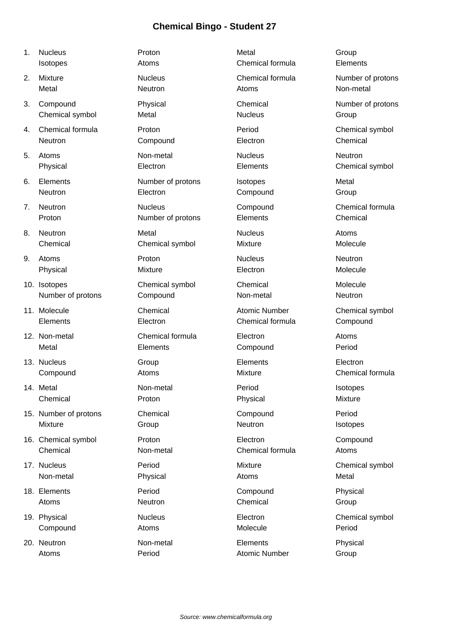- 
- 
- 
- 
- 
- 
- 
- 
- 
- 
- 
- 
- 
- 
- 
- 
- 
- 
- 
- 

1. Nucleus Proton Metal Group **Isotopes Atoms** Atoms **Chemical formula** Elements 2. Mixture **Nucleus** Nucleus **Chemical formula** Number of protons Metal **Neutron** Neutron Atoms Atoms Non-metal 3. Compound Physical Physical Chemical Chemical Number of protons Chemical symbol Metal Nucleus Nucleus Group 4. Chemical formula Proton Period Chemical symbol Neutron Compound Electron Chemical Compound Electron Chemical 5. Atoms **Non-metal** Nucleus Nucleus Neutron Physical Electron Elements Chemical symbol 6. Elements Number of protons Isotopes Metal Neutron **Electron** Electron Compound Group 7. Neutron **Nucleus** Compound Compound Chemical formula Proton **Number of protons** Elements Chemical 8. Neutron Metal Nucleus Atoms Chemical Chemical symbol Mixture Molecule 9. Atoms Proton Nucleus Neutron Physical **Mixture** Mixture **Electron** Molecule 10. Isotopes Chemical symbol Chemical Molecule Number of protons Compound Non-metal Non-metal Neutron 11. Molecule **Chemical** Chemical Atomic Number Chemical symbol Elements Electron Electron Chemical formula Compound 12. Non-metal **Chemical formula** Electron Electron Atoms Metal Elements Compound Period 13. Nucleus **Elements** Elements Electron Electron Compound Atoms Mixture Chemical formula 14. Metal Non-metal Period Isotopes Chemical **Proton Proton** Physical **Physical** Mixture 15. Number of protons Chemical Compound Period Mixture Group Group Reutron Neutron Isotopes 16. Chemical symbol Proton Electron Compound Chemical Non-metal Chemical formula Atoms 17. Nucleus **Period** Period Mixture Mixture Chemical symbol Non-metal **Physical** Physical Atoms Metal 18. Elements Period Compound Physical Atoms **Neutron** Chemical Group 19. Physical **Nucleus Nucleus Electron Chemical symbol Compound Molecule Atoms Atoms Molecule Atoms Atoms Atoms** 

20. Neutron **Non-metal** Elements **Physical** Atoms **Period** Period Atomic Number Group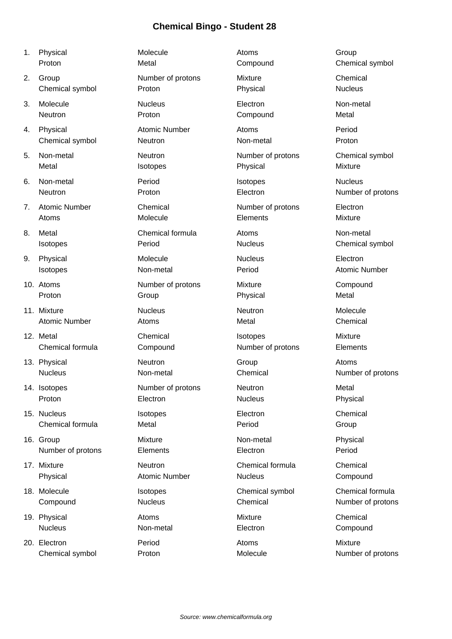| 1. | Physical             | Molecule             | Atoms             | Group                |
|----|----------------------|----------------------|-------------------|----------------------|
|    | Proton               | Metal                | Compound          | Chemical symbol      |
| 2. | Group                | Number of protons    | Mixture           | Chemical             |
|    | Chemical symbol      | Proton               | Physical          | <b>Nucleus</b>       |
| 3. | Molecule             | <b>Nucleus</b>       | Electron          | Non-metal            |
|    | Neutron              | Proton               | Compound          | Metal                |
| 4. | Physical             | <b>Atomic Number</b> | Atoms             | Period               |
|    | Chemical symbol      | Neutron              | Non-metal         | Proton               |
| 5. | Non-metal            | Neutron              | Number of protons | Chemical symbol      |
|    | Metal                | Isotopes             | Physical          | <b>Mixture</b>       |
| 6. | Non-metal            | Period               | Isotopes          | <b>Nucleus</b>       |
|    | Neutron              | Proton               | Electron          | Number of protons    |
| 7. | <b>Atomic Number</b> | Chemical             | Number of protons | Electron             |
|    | Atoms                | Molecule             | Elements          | <b>Mixture</b>       |
| 8. | Metal                | Chemical formula     | Atoms             | Non-metal            |
|    | Isotopes             | Period               | <b>Nucleus</b>    | Chemical symbol      |
| 9. | Physical             | Molecule             | <b>Nucleus</b>    | Electron             |
|    | Isotopes             | Non-metal            | Period            | <b>Atomic Number</b> |
|    | 10. Atoms            | Number of protons    | Mixture           | Compound             |
|    | Proton               | Group                | Physical          | Metal                |
|    | 11. Mixture          | <b>Nucleus</b>       | <b>Neutron</b>    | Molecule             |
|    | <b>Atomic Number</b> | Atoms                | Metal             | Chemical             |
|    | 12. Metal            | Chemical             | Isotopes          | <b>Mixture</b>       |
|    | Chemical formula     | Compound             | Number of protons | Elements             |
|    | 13. Physical         | <b>Neutron</b>       | Group             | Atoms                |
|    | <b>Nucleus</b>       | Non-metal            | Chemical          | Number of protons    |
|    | 14. Isotopes         | Number of protons    | Neutron           | Metal                |
|    | Proton               | Electron             | <b>Nucleus</b>    | Physical             |
|    | 15. Nucleus          | Isotopes             | Electron          | Chemical             |
|    | Chemical formula     | Metal                | Period            | Group                |
|    | 16. Group            | Mixture              | Non-metal         | Physical             |
|    | Number of protons    | Elements             | Electron          | Period               |
|    | 17. Mixture          | Neutron              | Chemical formula  | Chemical             |
|    | Physical             | <b>Atomic Number</b> | <b>Nucleus</b>    | Compound             |
|    | 18. Molecule         | Isotopes             | Chemical symbol   | Chemical formula     |
|    | Compound             | <b>Nucleus</b>       | Chemical          | Number of protons    |
|    | 19. Physical         | Atoms                | Mixture           | Chemical             |
|    | <b>Nucleus</b>       | Non-metal            | Electron          | Compound             |
|    | 20. Electron         | Period               | Atoms             | <b>Mixture</b>       |
|    | Chemical symbol      | Proton               | Molecule          | Number of protons    |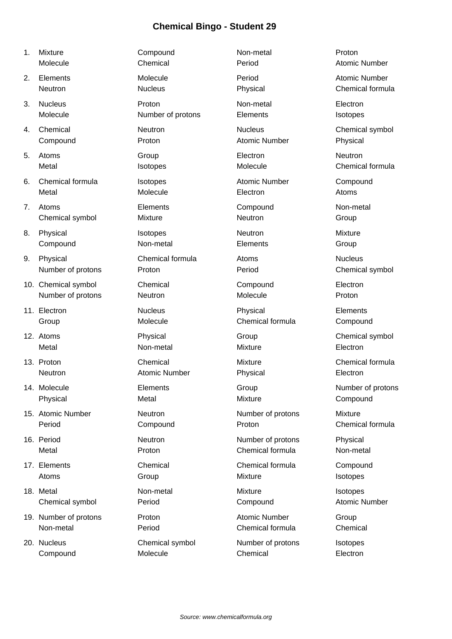| 1. | Mixture               | Compound             | Non-metal            | Proton               |
|----|-----------------------|----------------------|----------------------|----------------------|
|    | Molecule              | Chemical             | Period               | <b>Atomic Number</b> |
| 2. | Elements              | Molecule             | Period               | <b>Atomic Number</b> |
|    | Neutron               | <b>Nucleus</b>       | Physical             | Chemical formula     |
| 3. | <b>Nucleus</b>        | Proton               | Non-metal            | Electron             |
|    | Molecule              | Number of protons    | Elements             | Isotopes             |
| 4. | Chemical              | Neutron              | <b>Nucleus</b>       | Chemical symbol      |
|    | Compound              | Proton               | <b>Atomic Number</b> | Physical             |
| 5. | Atoms                 | Group                | Electron             | Neutron              |
|    | Metal                 | Isotopes             | Molecule             | Chemical formula     |
| 6. | Chemical formula      | Isotopes             | <b>Atomic Number</b> | Compound             |
|    | Metal                 | Molecule             | Electron             | Atoms                |
| 7. | Atoms                 | Elements             | Compound             | Non-metal            |
|    | Chemical symbol       | Mixture              | Neutron              | Group                |
| 8. | Physical              | Isotopes             | Neutron              | Mixture              |
|    | Compound              | Non-metal            | Elements             | Group                |
| 9. | Physical              | Chemical formula     | Atoms                | <b>Nucleus</b>       |
|    | Number of protons     | Proton               | Period               | Chemical symbol      |
|    | 10. Chemical symbol   | Chemical             | Compound             | Electron             |
|    | Number of protons     | Neutron              | Molecule             | Proton               |
|    | 11. Electron          | <b>Nucleus</b>       | Physical             | Elements             |
|    | Group                 | Molecule             | Chemical formula     | Compound             |
|    | 12. Atoms             | Physical             | Group                | Chemical symbol      |
|    | Metal                 | Non-metal            | <b>Mixture</b>       | Electron             |
|    | 13. Proton            | Chemical             | <b>Mixture</b>       | Chemical formula     |
|    | Neutron               | <b>Atomic Number</b> | Physical             | Electron             |
|    | 14. Molecule          | Elements             | Group                | Number of protons    |
|    | Physical              | Metal                | Mixture              | Compound             |
|    | 15. Atomic Number     | Neutron              | Number of protons    | <b>Mixture</b>       |
|    | Period                | Compound             | Proton               | Chemical formula     |
|    | 16. Period            | Neutron              | Number of protons    | Physical             |
|    | Metal                 | Proton               | Chemical formula     | Non-metal            |
|    | 17. Elements          | Chemical             | Chemical formula     | Compound             |
|    | Atoms                 | Group                | Mixture              | Isotopes             |
|    | 18. Metal             | Non-metal            | Mixture              | Isotopes             |
|    | Chemical symbol       | Period               | Compound             | <b>Atomic Number</b> |
|    | 19. Number of protons | Proton               | <b>Atomic Number</b> | Group                |
|    | Non-metal             | Period               | Chemical formula     | Chemical             |
|    | 20. Nucleus           | Chemical symbol      | Number of protons    | Isotopes             |
|    | Compound              | Molecule             | Chemical             | Electron             |
|    |                       |                      |                      |                      |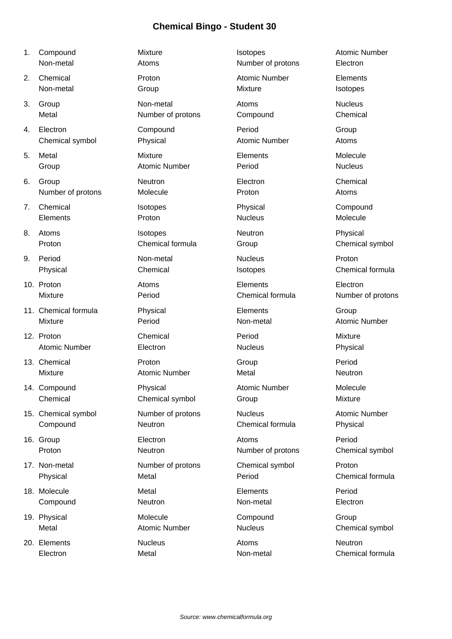- 
- 
- 
- 
- 
- 
- 
- 
- 
- 
- 
- 
- 
- 
- 
- 
- 
- 
- 
- 20. Elements **Atoms** Nucleus **Atoms** Neutron Neutron

1. Compound **Internal Mixture Isotopes** Atomic Number Non-metal **Atoms** Atoms Number of protons Electron 2. Chemical **Proton** Proton Atomic Number Elements Non-metal Group Group Mixture Mixture Isotopes 3. Group Non-metal Atoms Nucleus Metal **Number of protons** Compound Chemical Chemical 4. Electron Compound Period Period Group Chemical symbol Physical Atomic Number Atoms 5. Metal Mixture Elements Molecule Group **Atomic Number** Period **Period** Nucleus 6. Group Neutron Electron Chemical Number of protons Molecule **Molecule** Proton Atoms 7. Chemical Isotopes Physical Compound Elements Proton Nucleus Molecule 8. Atoms Isotopes Neutron Physical Proton Chemical formula Group Chemical Symbol Chemical symbol 9. Period **Non-metal** Nucleus **Nucleus** Proton Physical Chemical Chemical Isotopes Chemical Chemical Formula 10. Proton **Electron** Atoms **Elements** Elements Electron Mixture **Number of protons** Period **Chemical formula** Number of protons 11. Chemical formula Physical Elements Group Mixture **Non-metal** Atomic Number Period **Non-metal** Atomic Number 12. Proton **Chemical** Chemical Period Period Mixture Atomic Number **Electron** Electron Nucleus **Physical** 13. Chemical **Proton** Proton **Crow** Group **Period** Mixture **Atomic Number** Metal Meutron Neutron 14. Compound **Physical** Physical Atomic Number Molecule Chemical Chemical Chemical symbol Group Group Mixture 15. Chemical symbol **Number of protons** Nucleus Nucleus Atomic Number Compound Neutron Chemical formula Physical 16. Group Electron Atoms Period Proton Neutron Neutron Number of protons Chemical symbol 17. Non-metal **Number of protons** Chemical symbol Proton Physical Metal Metal Period Chemical formula 18. Molecule **Metal** Metal **Metal** Elements **Period** Compound Neutron Non-metal Electron 19. Physical **Compound** Group Metal **Atomic Number** Nucleus **Chemical symbol** Nucleus Chemical symbol

Electron Metal Non-metal Chemical formula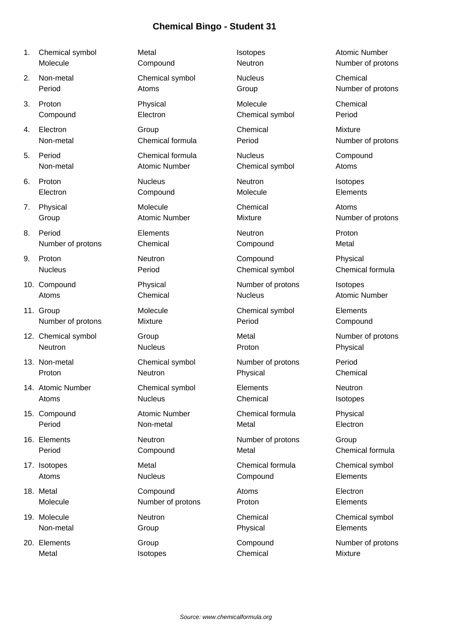- 1. Chemical symbol **Internal Isotopes** Atomic Number
- 
- 
- 
- 
- 
- 
- 8. Period **Elements Elements** Neutron **Proton**
- 
- 
- 11. Group **Chemical symbol** Chemical symbol Elements
- 12. Chemical symbol Group Group Metal Metal Number of protons
- 
- 
- 
- 
- 
- 
- 
- Metal **Internal Isotopes** Chemical Mixture

Molecule Compound Neutron Number of protons 2. Non-metal Chemical symbol Nucleus Chemical Period **Atoms** Atoms Group Computer Atoms Atoms Atoms Atoms Atoms Atoms Atoms Atoms Atoms Atoms Atoms Atoms Atoms Atoms Atoms Atoms Atoms Atoms Atoms Atoms Atoms Atoms Atoms Atoms Atoms Atoms Atoms Atoms Atoms Atoms Atoms 3. Proton Physical Molecule Chemical Compound Electron Chemical symbol Period 4. Electron Group Chemical Mixture Non-metal Chemical formula Period Number of protons 5. Period Chemical formula Nucleus Compound Non-metal Atomic Number Chemical symbol Atoms 6. Proton Nucleus Neutron Isotopes Electron Compound Molecule Elements 7. Physical **Molecule** Molecule Chemical Atoms Group **Atomic Number** Mixture Mixture Number of protons Number of protons Chemical Compound Compound Metal 9. Proton **Neutron** Neutron Compound Physical Nucleus **Period** Period Chemical symbol Chemical formula 10. Compound **Physical** Physical Number of protons Isotopes Atoms Chemical Nucleus Nucleus Atomic Number Number of protons Mixture Mixture Period Period Compound Neutron **Nucleus Nucleus** Proton Proton Physical 13. Non-metal Chemical symbol Number of protons Period Proton **Neutron** Neutron **Physical** Physical Chemical 14. Atomic Number Chemical symbol Elements Neutron Atoms **Atoms** Nucleus Chemical Chemical Isotopes 15. Compound **Atomic Number** Chemical formula Physical Period **Non-metal** Metal Metal Electron 16. Elements **Neutron** Neutron Number of protons Group Period Compound Metal Metal Chemical formula 17. Isotopes **17. Isotopes** Metal Chemical formula Chemical symbol Atoms **Nucleus Nucleus Compound** Elements 18. Metal **Compound** Atoms **Electron** Molecule Mumber of protons Proton Proton Elements 19. Molecule **Neutron** Neutron Chemical Chemical Chemical Chemical Symbol Non-metal Group Physical Elements

- 
- 

20. Elements **Compound** Compound Number of protons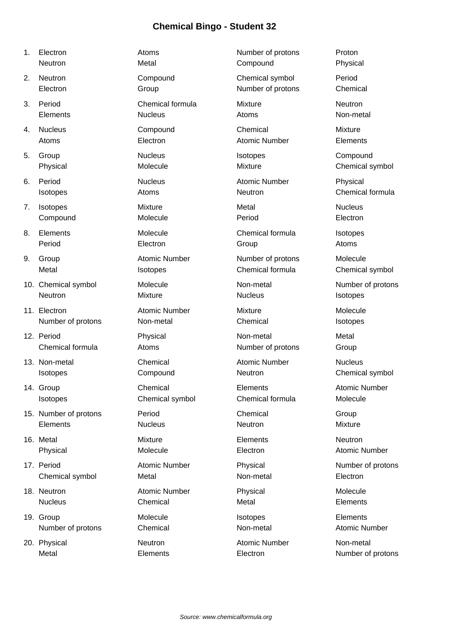- 
- 
- 
- 
- 
- 
- 
- 
- 
- 
- 
- 
- 
- 
- 
- 
- 
- 
- 
- 

1. Electron **Atoms** Atoms **Number of protons** Proton Neutron **Metal** Metal Compound Physical 2. Neutron Compound Chemical symbol Period Electron Group Number of protons Chemical 3. Period Chemical formula Mixture Neutron Elements Nucleus Atoms Non-metal 4. Nucleus Compound Chemical Mixture Atoms **Electron** Electron **Atomic Number** Elements 5. Group Nucleus Isotopes Compound Physical Molecule Mixture Mixture Chemical symbol 6. Period **Nucleus Nucleus** Atomic Number Physical Isotopes **Atoms** Atoms **Neutron Chemical formula** 7. Isotopes **Mixture** Mixture **Metal** Metal Mucleus Compound Molecule **Molecule** Period **Electron** 8. Elements **Molecule** Chemical formula Isotopes Period Electron Group Atoms 9. Group **Atomic Number** Number **Number of protons** Molecule Metal **ISOTOPES** Isotopes Chemical formula Chemical symbol 10. Chemical symbol Molecule Non-metal Number of protons Neutron Mixture Nucleus Isotopes 11. Electron **Atomic Number** Mixture Mixture Molecule Number of protons **Non-metal Chemical** Chemical Isotopes 12. Period **Physical** Physical Non-metal Metal Chemical formula  $\overline{\phantom{a}}$  Atoms  $\overline{\phantom{a}}$  Number of protons  $\overline{\phantom{a}}$  Group 13. Non-metal **Chemical** Chemical Atomic Number Nucleus Isotopes Compound Neutron Chemical symbol 14. Group **Chemical** Chemical Elements **Atomic Number** Isotopes Chemical symbol Chemical formula Molecule 15. Number of protons Period Chemical Group Elements Nucleus Neutron Mixture 16. Metal **Mixture** Mixture **Neutron Metal Metal Metal Metal Metal Metal Metal Metal Metal Metal Metal Metal Meta** Physical Molecule Molecule Electron Atomic Number 17. Period **Atomic Number** Physical Physical Number of protons Chemical symbol Metal Non-metal Non-metal Electron 18. Neutron **Atomic Number** Physical **Molecule** Molecule Nucleus Chemical Metal Elements 19. Group Molecule Isotopes Elements Number of protons Chemical Non-metal Non-metal Atomic Number

20. Physical **Neutron** Neutron **Atomic Number** Non-metal

Metal **Elements** Electron Electron Number of protons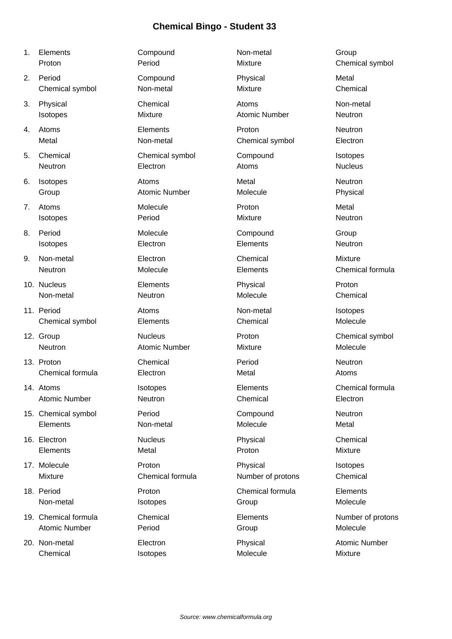| 1. | Elements             | Compound             | Non-metal            | Group                |
|----|----------------------|----------------------|----------------------|----------------------|
|    | Proton               | Period               | Mixture              | Chemical symbol      |
| 2. | Period               | Compound             | Physical             | Metal                |
|    | Chemical symbol      | Non-metal            | Mixture              | Chemical             |
| 3. | Physical             | Chemical             | Atoms                | Non-metal            |
|    | Isotopes             | Mixture              | <b>Atomic Number</b> | Neutron              |
| 4. | Atoms                | Elements             | Proton               | Neutron              |
|    | Metal                | Non-metal            | Chemical symbol      | Electron             |
| 5. | Chemical             | Chemical symbol      | Compound             | Isotopes             |
|    | Neutron              | Electron             | Atoms                | <b>Nucleus</b>       |
| 6. | Isotopes             | Atoms                | Metal                | Neutron              |
|    | Group                | <b>Atomic Number</b> | Molecule             | Physical             |
| 7. | Atoms                | Molecule             | Proton               | Metal                |
|    | Isotopes             | Period               | Mixture              | Neutron              |
| 8. | Period               | Molecule             | Compound             | Group                |
|    | Isotopes             | Electron             | Elements             | Neutron              |
| 9. | Non-metal            | Electron             | Chemical             | <b>Mixture</b>       |
|    | Neutron              | Molecule             | Elements             | Chemical formula     |
|    | 10. Nucleus          | Elements             | Physical             | Proton               |
|    | Non-metal            | Neutron              | Molecule             | Chemical             |
|    | 11. Period           | Atoms                | Non-metal            | Isotopes             |
|    | Chemical symbol      | Elements             | Chemical             | Molecule             |
|    | 12. Group            | <b>Nucleus</b>       | Proton               | Chemical symbol      |
|    | Neutron              | <b>Atomic Number</b> | Mixture              | Molecule             |
|    | 13. Proton           | Chemical             | Period               | Neutron              |
|    | Chemical formula     | Electron             | Metal                | Atoms                |
|    | 14. Atoms            | Isotopes             | Elements             | Chemical formula     |
|    | <b>Atomic Number</b> | Neutron              | Chemical             | Electron             |
|    | 15. Chemical symbol  | Period               | Compound             | Neutron              |
|    | Elements             | Non-metal            | Molecule             | Metal                |
|    | 16. Electron         | <b>Nucleus</b>       | Physical             | Chemical             |
|    | Elements             | Metal                | Proton               | Mixture              |
|    | 17. Molecule         | Proton               | Physical             | Isotopes             |
|    | Mixture              | Chemical formula     | Number of protons    | Chemical             |
|    | 18. Period           | Proton               | Chemical formula     | Elements             |
|    | Non-metal            | Isotopes             | Group                | Molecule             |
|    | 19. Chemical formula | Chemical             | Elements             | Number of protons    |
|    | <b>Atomic Number</b> | Period               | Group                | Molecule             |
|    | 20. Non-metal        | Electron             | Physical             | <b>Atomic Number</b> |
|    | Chemical             | Isotopes             | Molecule             | Mixture              |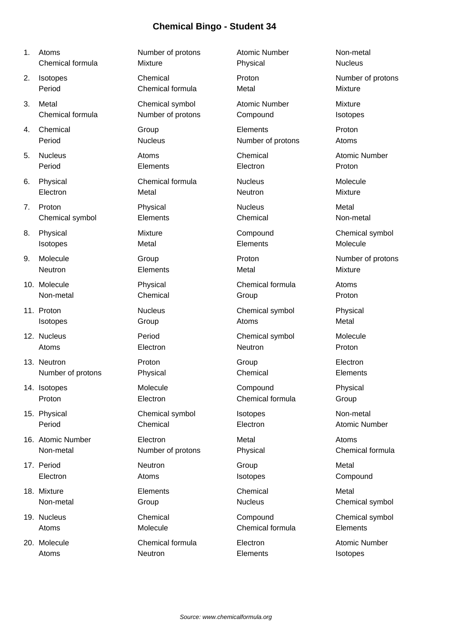| 1. | Atoms             | Number of protons | <b>Atomic Number</b> | Non-metal            |
|----|-------------------|-------------------|----------------------|----------------------|
|    | Chemical formula  | Mixture           | Physical             | <b>Nucleus</b>       |
| 2. | Isotopes          | Chemical          | Proton               | Number of protons    |
|    | Period            | Chemical formula  | Metal                | <b>Mixture</b>       |
| 3. | Metal             | Chemical symbol   | <b>Atomic Number</b> | <b>Mixture</b>       |
|    | Chemical formula  | Number of protons | Compound             | Isotopes             |
| 4. | Chemical          | Group             | Elements             | Proton               |
|    | Period            | <b>Nucleus</b>    | Number of protons    | Atoms                |
| 5. | <b>Nucleus</b>    | Atoms             | Chemical             | <b>Atomic Number</b> |
|    | Period            | Elements          | Electron             | Proton               |
| 6. | Physical          | Chemical formula  | <b>Nucleus</b>       | Molecule             |
|    | Electron          | Metal             | Neutron              | Mixture              |
| 7. | Proton            | Physical          | <b>Nucleus</b>       | Metal                |
|    | Chemical symbol   | Elements          | Chemical             | Non-metal            |
| 8. | Physical          | Mixture           | Compound             | Chemical symbol      |
|    | Isotopes          | Metal             | Elements             | Molecule             |
| 9. | Molecule          | Group             | Proton               | Number of protons    |
|    | Neutron           | Elements          | Metal                | Mixture              |
|    | 10. Molecule      | Physical          | Chemical formula     | Atoms                |
|    | Non-metal         | Chemical          | Group                | Proton               |
|    | 11. Proton        | <b>Nucleus</b>    | Chemical symbol      | Physical             |
|    | <b>Isotopes</b>   | Group             | Atoms                | Metal                |
|    | 12. Nucleus       | Period            | Chemical symbol      | Molecule             |
|    | Atoms             | Electron          | Neutron              | Proton               |
|    | 13. Neutron       | Proton            | Group                | Electron             |
|    | Number of protons | Physical          | Chemical             | Elements             |
|    | 14. Isotopes      | Molecule          | Compound             | Physical             |
|    | Proton            | Electron          | Chemical formula     | Group                |
|    | 15. Physical      | Chemical symbol   | Isotopes             | Non-metal            |
|    | Period            | Chemical          | Electron             | <b>Atomic Number</b> |
|    | 16. Atomic Number | Electron          | Metal                | Atoms                |
|    | Non-metal         | Number of protons | Physical             | Chemical formula     |
|    | 17. Period        | Neutron           | Group                | Metal                |
|    | Electron          | Atoms             | Isotopes             | Compound             |
|    | 18. Mixture       | Elements          | Chemical             | Metal                |
|    | Non-metal         | Group             | <b>Nucleus</b>       | Chemical symbol      |
|    | 19. Nucleus       | Chemical          | Compound             | Chemical symbol      |
|    | Atoms             | Molecule          | Chemical formula     | Elements             |
|    | 20. Molecule      | Chemical formula  | Electron             | <b>Atomic Number</b> |
|    | Atoms             | Neutron           | Elements             | Isotopes             |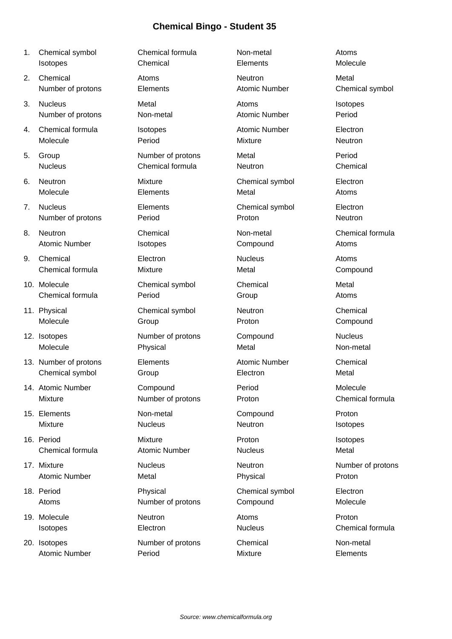- 1. Chemical symbol Chemical formula Non-metal Atoms
- 
- 
- 
- 
- 
- 
- 
- 
- 
- 
- 
- 
- 
- 
- 
- 
- 
- 
- 

Isotopes Chemical Elements Molecule 2. Chemical and Atoms and Atoms and Neutron Metal Metal Number of protons Elements **Elements** Atomic Number Chemical symbol 3. Nucleus **Metal** Metal Atoms Atoms Isotopes Number of protons Non-metal Atomic Number Period 4. Chemical formula Isotopes **In the Chemical Chemical Flectron** Molecule **Realist Period** Period Mixture Measure Neutron 5. Group Number of protons Metal Period Nucleus Chemical formula Neutron Chemical 6. Neutron Mixture Chemical symbol Electron Molecule **Elements** Elements Metal Metal Atoms 7. Nucleus Elements Chemical symbol Electron Number of protons **Period** Proton Proton Proton Neutron 8. Neutron Chemical Non-metal Chemical formula Atomic Number **Isotopes** Compound Atoms 9. Chemical **Electron** Electron Nucleus Atoms Chemical formula Mixture Metal Metal Compound 10. Molecule Chemical symbol Chemical Metal Chemical formula **Chemical Formula** Period **Chemical Chemical Atoms** 11. Physical Chemical symbol Neutron Chemical Molecule Group Proton Compound 12. Isotopes Number of protons Compound Nucleus Molecule Physical Metal Non-metal 13. Number of protons Elements **Elements** Atomic Number Chemical Chemical symbol Group Electron Metal 14. Atomic Number Compound Period Molecule Mixture **Number of protons** Proton **Number of proton** Proton **Chemical formula** 15. Elements Non-metal Compound Proton Mixture **Nucleus** Nucleus **Neutron** Neutron Isotopes 16. Period Mixture Proton Isotopes Chemical formula Atomic Number Nucleus Metal 17. Mixture **Number of protons** Nucleus **Neutron** Neutron Number of protons Atomic Number **Metal** Metal **Physical** Proton Physical Proton 18. Period Physical Chemical symbol Electron Atoms Mumber of protons Compound Molecule 19. Molecule **Neutron** Neutron **Atoms** Atoms **Proton** Isotopes Electron Nucleus Chemical formula

20. Isotopes Number of protons Chemical Non-metal Atomic Number **Period Period** Mixture **Mixture Elements**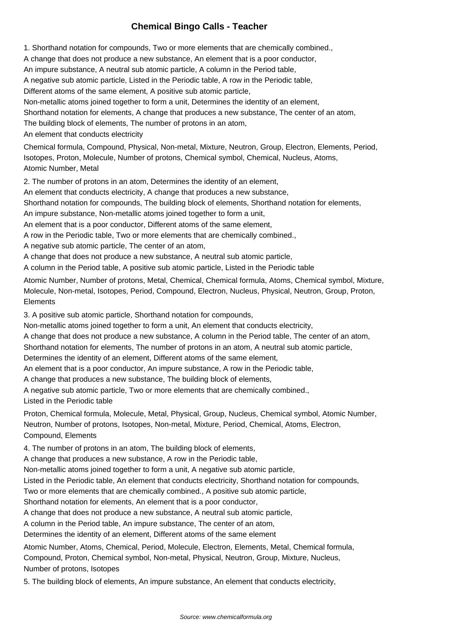### **Chemical Bingo Calls - Teacher**

1. Shorthand notation for compounds, Two or more elements that are chemically combined.,

A change that does not produce a new substance, An element that is a poor conductor,

An impure substance, A neutral sub atomic particle, A column in the Period table,

A negative sub atomic particle, Listed in the Periodic table, A row in the Periodic table,

Different atoms of the same element, A positive sub atomic particle,

Non-metallic atoms joined together to form a unit, Determines the identity of an element,

Shorthand notation for elements, A change that produces a new substance, The center of an atom,

The building block of elements, The number of protons in an atom,

An element that conducts electricity

Chemical formula, Compound, Physical, Non-metal, Mixture, Neutron, Group, Electron, Elements, Period, Isotopes, Proton, Molecule, Number of protons, Chemical symbol, Chemical, Nucleus, Atoms, Atomic Number, Metal

2. The number of protons in an atom, Determines the identity of an element,

An element that conducts electricity, A change that produces a new substance,

Shorthand notation for compounds, The building block of elements, Shorthand notation for elements,

An impure substance, Non-metallic atoms joined together to form a unit,

An element that is a poor conductor, Different atoms of the same element,

A row in the Periodic table, Two or more elements that are chemically combined.,

A negative sub atomic particle, The center of an atom,

A change that does not produce a new substance, A neutral sub atomic particle,

A column in the Period table, A positive sub atomic particle, Listed in the Periodic table

Atomic Number, Number of protons, Metal, Chemical, Chemical formula, Atoms, Chemical symbol, Mixture, Molecule, Non-metal, Isotopes, Period, Compound, Electron, Nucleus, Physical, Neutron, Group, Proton, **Elements** 

3. A positive sub atomic particle, Shorthand notation for compounds,

Non-metallic atoms joined together to form a unit, An element that conducts electricity,

A change that does not produce a new substance, A column in the Period table, The center of an atom,

Shorthand notation for elements, The number of protons in an atom, A neutral sub atomic particle,

Determines the identity of an element, Different atoms of the same element,

An element that is a poor conductor, An impure substance, A row in the Periodic table,

A change that produces a new substance, The building block of elements,

A negative sub atomic particle, Two or more elements that are chemically combined., Listed in the Periodic table

Proton, Chemical formula, Molecule, Metal, Physical, Group, Nucleus, Chemical symbol, Atomic Number, Neutron, Number of protons, Isotopes, Non-metal, Mixture, Period, Chemical, Atoms, Electron, Compound, Elements

4. The number of protons in an atom, The building block of elements,

A change that produces a new substance, A row in the Periodic table,

Non-metallic atoms joined together to form a unit, A negative sub atomic particle,

Listed in the Periodic table, An element that conducts electricity, Shorthand notation for compounds,

Two or more elements that are chemically combined., A positive sub atomic particle,

Shorthand notation for elements, An element that is a poor conductor,

A change that does not produce a new substance, A neutral sub atomic particle,

A column in the Period table, An impure substance, The center of an atom,

Determines the identity of an element, Different atoms of the same element

Atomic Number, Atoms, Chemical, Period, Molecule, Electron, Elements, Metal, Chemical formula, Compound, Proton, Chemical symbol, Non-metal, Physical, Neutron, Group, Mixture, Nucleus, Number of protons, Isotopes

5. The building block of elements, An impure substance, An element that conducts electricity,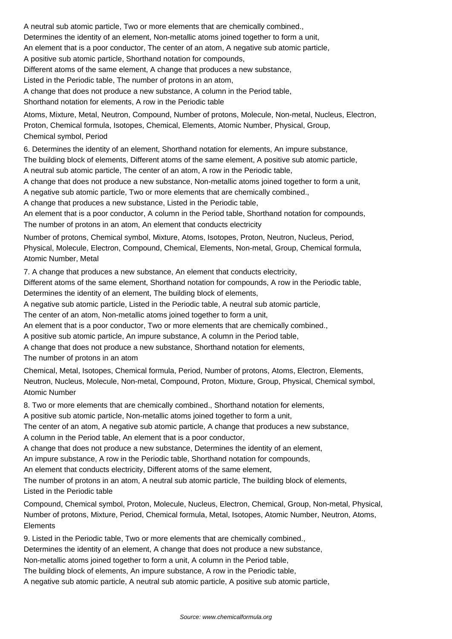A neutral sub atomic particle, Two or more elements that are chemically combined.,

Determines the identity of an element, Non-metallic atoms joined together to form a unit,

An element that is a poor conductor, The center of an atom, A negative sub atomic particle,

A positive sub atomic particle, Shorthand notation for compounds,

Different atoms of the same element, A change that produces a new substance,

Listed in the Periodic table, The number of protons in an atom,

A change that does not produce a new substance, A column in the Period table,

Shorthand notation for elements, A row in the Periodic table

Atoms, Mixture, Metal, Neutron, Compound, Number of protons, Molecule, Non-metal, Nucleus, Electron, Proton, Chemical formula, Isotopes, Chemical, Elements, Atomic Number, Physical, Group, Chemical symbol, Period

6. Determines the identity of an element, Shorthand notation for elements, An impure substance, The building block of elements, Different atoms of the same element, A positive sub atomic particle, A neutral sub atomic particle, The center of an atom, A row in the Periodic table,

A change that does not produce a new substance, Non-metallic atoms joined together to form a unit,

A negative sub atomic particle, Two or more elements that are chemically combined.,

A change that produces a new substance, Listed in the Periodic table,

An element that is a poor conductor, A column in the Period table, Shorthand notation for compounds, The number of protons in an atom, An element that conducts electricity

Number of protons, Chemical symbol, Mixture, Atoms, Isotopes, Proton, Neutron, Nucleus, Period, Physical, Molecule, Electron, Compound, Chemical, Elements, Non-metal, Group, Chemical formula, Atomic Number, Metal

7. A change that produces a new substance, An element that conducts electricity,

Different atoms of the same element, Shorthand notation for compounds, A row in the Periodic table, Determines the identity of an element, The building block of elements,

A negative sub atomic particle, Listed in the Periodic table, A neutral sub atomic particle,

The center of an atom, Non-metallic atoms joined together to form a unit,

An element that is a poor conductor, Two or more elements that are chemically combined.,

A positive sub atomic particle, An impure substance, A column in the Period table,

A change that does not produce a new substance, Shorthand notation for elements,

The number of protons in an atom

Chemical, Metal, Isotopes, Chemical formula, Period, Number of protons, Atoms, Electron, Elements, Neutron, Nucleus, Molecule, Non-metal, Compound, Proton, Mixture, Group, Physical, Chemical symbol, Atomic Number

8. Two or more elements that are chemically combined., Shorthand notation for elements,

A positive sub atomic particle, Non-metallic atoms joined together to form a unit,

The center of an atom, A negative sub atomic particle, A change that produces a new substance,

A column in the Period table, An element that is a poor conductor,

A change that does not produce a new substance, Determines the identity of an element,

An impure substance, A row in the Periodic table, Shorthand notation for compounds,

An element that conducts electricity, Different atoms of the same element,

The number of protons in an atom, A neutral sub atomic particle, The building block of elements, Listed in the Periodic table

Compound, Chemical symbol, Proton, Molecule, Nucleus, Electron, Chemical, Group, Non-metal, Physical, Number of protons, Mixture, Period, Chemical formula, Metal, Isotopes, Atomic Number, Neutron, Atoms, **Elements** 

9. Listed in the Periodic table, Two or more elements that are chemically combined.,

Determines the identity of an element, A change that does not produce a new substance,

Non-metallic atoms joined together to form a unit, A column in the Period table,

The building block of elements, An impure substance, A row in the Periodic table,

A negative sub atomic particle, A neutral sub atomic particle, A positive sub atomic particle,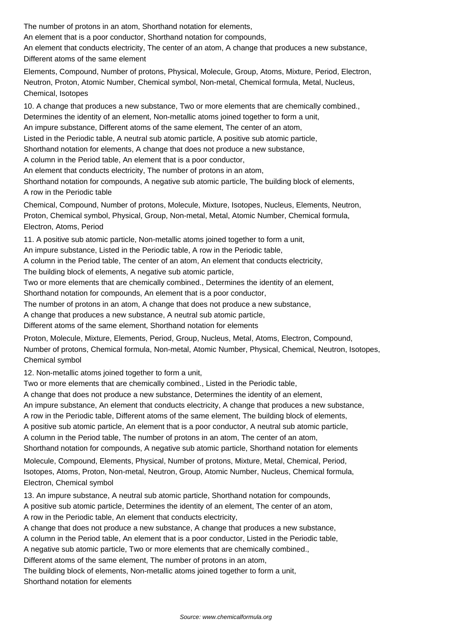The number of protons in an atom, Shorthand notation for elements,

An element that is a poor conductor, Shorthand notation for compounds,

An element that conducts electricity, The center of an atom, A change that produces a new substance, Different atoms of the same element

Elements, Compound, Number of protons, Physical, Molecule, Group, Atoms, Mixture, Period, Electron, Neutron, Proton, Atomic Number, Chemical symbol, Non-metal, Chemical formula, Metal, Nucleus, Chemical, Isotopes

10. A change that produces a new substance, Two or more elements that are chemically combined., Determines the identity of an element, Non-metallic atoms joined together to form a unit,

An impure substance, Different atoms of the same element, The center of an atom,

Listed in the Periodic table, A neutral sub atomic particle, A positive sub atomic particle,

Shorthand notation for elements, A change that does not produce a new substance,

A column in the Period table, An element that is a poor conductor,

An element that conducts electricity, The number of protons in an atom,

Shorthand notation for compounds, A negative sub atomic particle, The building block of elements, A row in the Periodic table

Chemical, Compound, Number of protons, Molecule, Mixture, Isotopes, Nucleus, Elements, Neutron, Proton, Chemical symbol, Physical, Group, Non-metal, Metal, Atomic Number, Chemical formula, Electron, Atoms, Period

11. A positive sub atomic particle, Non-metallic atoms joined together to form a unit,

An impure substance, Listed in the Periodic table, A row in the Periodic table,

A column in the Period table, The center of an atom, An element that conducts electricity,

The building block of elements, A negative sub atomic particle,

Two or more elements that are chemically combined., Determines the identity of an element,

Shorthand notation for compounds, An element that is a poor conductor,

The number of protons in an atom, A change that does not produce a new substance,

A change that produces a new substance, A neutral sub atomic particle,

Different atoms of the same element, Shorthand notation for elements

Proton, Molecule, Mixture, Elements, Period, Group, Nucleus, Metal, Atoms, Electron, Compound, Number of protons, Chemical formula, Non-metal, Atomic Number, Physical, Chemical, Neutron, Isotopes, Chemical symbol

12. Non-metallic atoms joined together to form a unit,

Two or more elements that are chemically combined., Listed in the Periodic table,

A change that does not produce a new substance, Determines the identity of an element,

An impure substance, An element that conducts electricity, A change that produces a new substance,

A row in the Periodic table, Different atoms of the same element, The building block of elements,

A positive sub atomic particle, An element that is a poor conductor, A neutral sub atomic particle,

A column in the Period table, The number of protons in an atom, The center of an atom,

Shorthand notation for compounds, A negative sub atomic particle, Shorthand notation for elements

Molecule, Compound, Elements, Physical, Number of protons, Mixture, Metal, Chemical, Period, Isotopes, Atoms, Proton, Non-metal, Neutron, Group, Atomic Number, Nucleus, Chemical formula, Electron, Chemical symbol

13. An impure substance, A neutral sub atomic particle, Shorthand notation for compounds,

A positive sub atomic particle, Determines the identity of an element, The center of an atom,

A row in the Periodic table, An element that conducts electricity,

A change that does not produce a new substance, A change that produces a new substance,

A column in the Period table, An element that is a poor conductor, Listed in the Periodic table,

A negative sub atomic particle, Two or more elements that are chemically combined.,

Different atoms of the same element, The number of protons in an atom,

The building block of elements, Non-metallic atoms joined together to form a unit, Shorthand notation for elements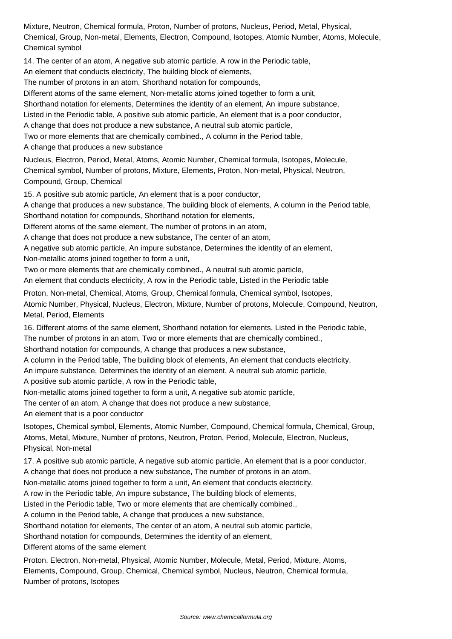Mixture, Neutron, Chemical formula, Proton, Number of protons, Nucleus, Period, Metal, Physical, Chemical, Group, Non-metal, Elements, Electron, Compound, Isotopes, Atomic Number, Atoms, Molecule, Chemical symbol

14. The center of an atom, A negative sub atomic particle, A row in the Periodic table,

An element that conducts electricity, The building block of elements,

The number of protons in an atom, Shorthand notation for compounds,

Different atoms of the same element, Non-metallic atoms joined together to form a unit,

Shorthand notation for elements, Determines the identity of an element, An impure substance,

Listed in the Periodic table, A positive sub atomic particle, An element that is a poor conductor,

A change that does not produce a new substance, A neutral sub atomic particle,

Two or more elements that are chemically combined., A column in the Period table,

A change that produces a new substance

Nucleus, Electron, Period, Metal, Atoms, Atomic Number, Chemical formula, Isotopes, Molecule, Chemical symbol, Number of protons, Mixture, Elements, Proton, Non-metal, Physical, Neutron, Compound, Group, Chemical

15. A positive sub atomic particle, An element that is a poor conductor,

A change that produces a new substance, The building block of elements, A column in the Period table, Shorthand notation for compounds, Shorthand notation for elements,

Different atoms of the same element, The number of protons in an atom,

A change that does not produce a new substance, The center of an atom,

A negative sub atomic particle, An impure substance, Determines the identity of an element,

Non-metallic atoms joined together to form a unit,

Two or more elements that are chemically combined., A neutral sub atomic particle,

An element that conducts electricity, A row in the Periodic table, Listed in the Periodic table

Proton, Non-metal, Chemical, Atoms, Group, Chemical formula, Chemical symbol, Isotopes, Atomic Number, Physical, Nucleus, Electron, Mixture, Number of protons, Molecule, Compound, Neutron, Metal, Period, Elements

16. Different atoms of the same element, Shorthand notation for elements, Listed in the Periodic table, The number of protons in an atom, Two or more elements that are chemically combined.,

Shorthand notation for compounds, A change that produces a new substance,

A column in the Period table, The building block of elements, An element that conducts electricity,

An impure substance, Determines the identity of an element, A neutral sub atomic particle,

A positive sub atomic particle, A row in the Periodic table,

Non-metallic atoms joined together to form a unit, A negative sub atomic particle,

The center of an atom, A change that does not produce a new substance,

An element that is a poor conductor

Isotopes, Chemical symbol, Elements, Atomic Number, Compound, Chemical formula, Chemical, Group, Atoms, Metal, Mixture, Number of protons, Neutron, Proton, Period, Molecule, Electron, Nucleus, Physical, Non-metal

17. A positive sub atomic particle, A negative sub atomic particle, An element that is a poor conductor,

A change that does not produce a new substance, The number of protons in an atom,

Non-metallic atoms joined together to form a unit, An element that conducts electricity,

A row in the Periodic table, An impure substance, The building block of elements,

Listed in the Periodic table, Two or more elements that are chemically combined.,

A column in the Period table, A change that produces a new substance,

Shorthand notation for elements, The center of an atom, A neutral sub atomic particle,

Shorthand notation for compounds, Determines the identity of an element,

Different atoms of the same element

Proton, Electron, Non-metal, Physical, Atomic Number, Molecule, Metal, Period, Mixture, Atoms, Elements, Compound, Group, Chemical, Chemical symbol, Nucleus, Neutron, Chemical formula, Number of protons, Isotopes